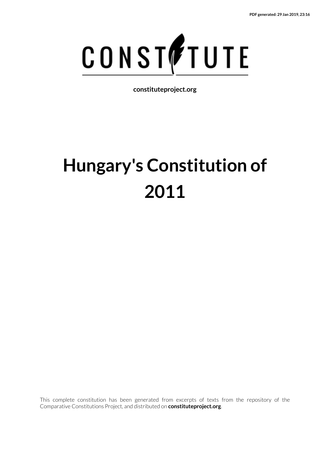

**constituteproject.org**

# **Hungary's Constitution of 2011**

This complete constitution has been generated from excerpts of texts from the repository of the Comparative Constitutions Project, and distributed on **constituteproject.org**.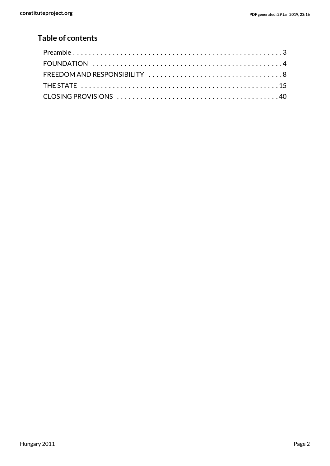# **Table of contents**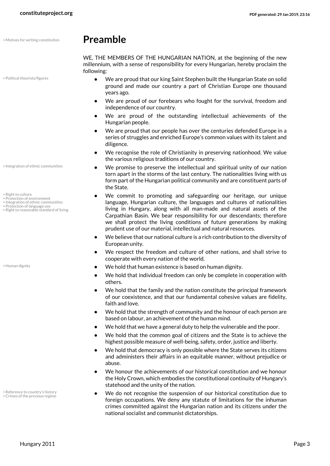• Political theorists/figures

# • Motives for writing constitution **Preamble**

<span id="page-2-5"></span><span id="page-2-4"></span><span id="page-2-0"></span>WE, THE MEMBERS OF THE HUNGARIAN NATION, at the beginning of the new millennium, with a sense of responsibility for every Hungarian, hereby proclaim the following:

- **•** We are proud that our king Saint Stephen built the Hungarian State on solid ground and made our country a part of Christian Europe one thousand years ago.
- **•** We are proud of our forebears who fought for the survival, freedom and independence of our country.
- **•** We are proud of the outstanding intellectual achievements of the Hungarian people.
- **•** We are proud that our people has over the centuries defended Europe in a series of struggles and enriched Europe's common values with its talent and diligence.
- **•** We recognise the role of Christianity in preserving nationhood. We value the various religious traditions of our country.
- **•** We promise to preserve the intellectual and spiritual unity of our nation torn apart in the storms of the last century. The nationalities living with us form part of the Hungarian political community and are constituent parts of the State.
- <span id="page-2-10"></span><span id="page-2-7"></span><span id="page-2-6"></span><span id="page-2-3"></span>**•** We commit to promoting and safeguarding our heritage, our unique language, Hungarian culture, the languages and cultures of nationalities living in Hungary, along with all man-made and natural assets of the Carpathian Basin. We bear responsibility for our descendants; therefore we shall protect the living conditions of future generations by making prudent use of our material, intellectual and natural resources.
- **•** We believe that our national culture is a rich contribution to the diversity of European unity.
- **•** We respect the freedom and culture of other nations, and shall strive to cooperate with every nation of the world.
- <span id="page-2-2"></span>• Human dignity **•• Buman dignity •• We hold that human existence is based on human dignity.** 
	- **•** We hold that individual freedom can only be complete in cooperation with others.
	- **•** We hold that the family and the nation constitute the principal framework of our coexistence, and that our fundamental cohesive values are fidelity, faith and love.
	- **•** We hold that the strength of community and the honour of each person are based on labour, an achievement of the human mind.
	- **•** We hold that we have a general duty to help the vulnerable and the poor.
	- **•** We hold that the common goal of citizens and the State is to achieve the highest possible measure of well-being, safety, order, justice and liberty.
	- **•** We hold that democracy is only possible where the State serves its citizens and administers their affairs in an equitable manner, without prejudice or abuse.
	- **•** We honour the achievements of our historical constitution and we honour the Holy Crown, which embodies the constitutional continuity of Hungary's statehood and the unity of the nation.
	- **•** We do not recognise the suspension of our historical constitution due to foreign occupations. We deny any statute of limitations for the inhuman crimes committed against the Hungarian nation and its citizens under the national socialist and communist dictatorships.

• Integration of ethnic communities

- <span id="page-2-9"></span>• Right to culture
- Protection of environment Integration of ethnic communities
- Protection of language use
- Right to reasonable standard of living

<span id="page-2-8"></span><span id="page-2-1"></span>• Reference to country's history • Crimes of the previous regime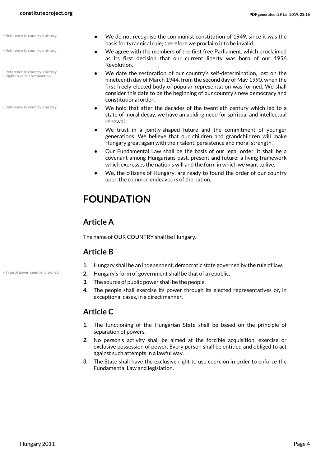- Reference to country's history
- Reference to country's history
- Reference to country's history • Right to self determination
- Reference to country's history
- **•** We do not recognise the communist constitution of 1949, since it was the basis for tyrannical rule; therefore we proclaim it to be invalid.
- **•** We agree with the members of the first free Parliament, which proclaimed as its first decision that our current liberty was born of our 1956 Revolution.
- <span id="page-3-2"></span>**•** We date the restoration of our country's self-determination, lost on the nineteenth day of March 1944, from the second day of May 1990, when the first freely elected body of popular representation was formed. We shall consider this date to be the beginning of our country's new democracy and constitutional order.
- <span id="page-3-1"></span>**•** We hold that after the decades of the twentieth century which led to a state of moral decay, we have an abiding need for spiritual and intellectual renewal.
- **•** We trust in a jointly-shaped future and the commitment of younger generations. We believe that our children and grandchildren will make Hungary great again with their talent, persistence and moral strength.
- **•** Our Fundamental Law shall be the basis of our legal order: it shall be a covenant among Hungarians past, present and future; a living framework which expresses the nation's will and the form in which we want to live.
- <span id="page-3-0"></span>**•** We, the citizens of Hungary, are ready to found the order of our country upon the common endeavours of the nation.

# **FOUNDATION**

### **Article A**

The name of OUR COUNTRY shall be Hungary.

### **Article B**

- <span id="page-3-3"></span>**1.** Hungary shall be an independent, democratic state governed by the rule of law.
- \* Type of government envisioned **2.** Hungary's form of government shall be that of a republic.
	- **3.** The source of public power shall be the people.
	- **4.** The people shall exercise its power through its elected representatives or, in exceptional cases, in a direct manner.

### **Article C**

- **1.** The functioning of the Hungarian State shall be based on the principle of separation of powers.
- **2.** No person's activity shall be aimed at the forcible acquisition, exercise or exclusive possession of power. Every person shall be entitled and obliged to act against such attempts in a lawful way.
- **3.** The State shall have the exclusive right to use coercion in order to enforce the Fundamental Law and legislation.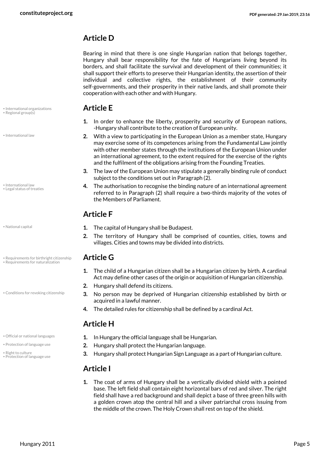### **Article D**

Bearing in mind that there is one single Hungarian nation that belongs together, Hungary shall bear responsibility for the fate of Hungarians living beyond its borders, and shall facilitate the survival and development of their communities; it shall support their efforts to preserve their Hungarian identity, the assertion of their individual and collective rights, the establishment of their community self-governments, and their prosperity in their native lands, and shall promote their cooperation with each other and with Hungary.

# <span id="page-4-7"></span>• International organizations **Article E** • Regional group(s)

- <span id="page-4-2"></span>**1.** In order to enhance the liberty, prosperity and security of European nations, -Hungary shall contribute to the creation of European unity.
- **2.** With a view to participating in the European Union as a member state, Hungary may exercise some of its competences arising from the Fundamental Law jointly with other member states through the institutions of the European Union under an international agreement, to the extent required for the exercise of the rights and the fulfilment of the obligations arising from the Founding Treaties.
- **3.** The law of the European Union may stipulate a generally binding rule of conduct subject to the conditions set out in Paragraph (2).
- <span id="page-4-3"></span>**4.** The authorisation to recognise the binding nature of an international agreement referred to in Paragraph (2) shall require a two-thirds majority of the votes of the Members of Parliament.

### **Article F**

- <span id="page-4-4"></span>• National capital **1.** The capital of Hungary shall be Budapest.
	- **2.** The territory of Hungary shall be comprised of counties, cities, towns and villages. Cities and towns may be divided into districts.

# • Requirements for birthright citizenship **Article G** • Requirements for naturalization

- <span id="page-4-9"></span><span id="page-4-8"></span>**1.** The child of a Hungarian citizen shall be a Hungarian citizen by birth. A cardinal Act may define other cases of the origin or acquisition of Hungarian citizenship.
- **2.** Hungary shall defend its citizens.
- <span id="page-4-0"></span>**3.** No person may be deprived of Hungarian citizenship established by birth or acquired in a lawful manner.
- **4.** The detailed rules for citizenship shall be defined by a cardinal Act.

### <span id="page-4-5"></span>**Article H**

• Conditions for revoking citizenship

- <span id="page-4-10"></span>
- Protection of language use
- . Official or national languages **1.** In Hungary the official language shall be Hungarian.
- Protection of language use **2.** Hungary shall protect the Hungarian language.
- **Right to culture**<br>• Right to culture conservance use **3.** Hungary shall protect Hungarian Sign Language as a part of Hungarian culture.

### <span id="page-4-6"></span>**Article I**

**1.** The coat of arms of Hungary shall be a vertically divided shield with a pointed base. The left field shall contain eight horizontal bars of red and silver. The right field shall have a red background and shall depict a base of three green hills with a golden crown atop the central hill and a silver patriarchal cross issuing from the middle of the crown. The Holy Crown shall rest on top of the shield.

• International law

<span id="page-4-1"></span>• International law • Legal status of treaties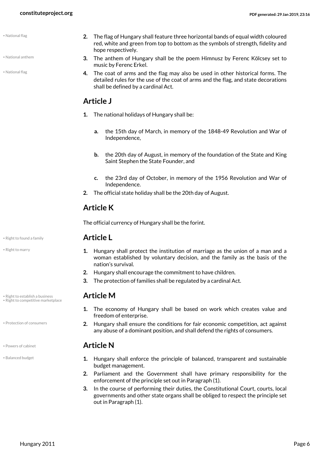• National flag

- <span id="page-5-1"></span>• National anthem
- <span id="page-5-2"></span>• National flag
- **2.** The flag of Hungary shall feature three horizontal bands of equal width coloured red, white and green from top to bottom as the symbols of strength, fidelity and hope respectively.
- **3.** The anthem of Hungary shall be the poem Himnusz by Ferenc Kölcsey set to music by Ferenc Erkel.
- **4.** The coat of arms and the flag may also be used in other historical forms. The detailed rules for the use of the coat of arms and the flag, and state decorations shall be defined by a cardinal Act.

### **Article J**

- **1.** The national holidays of Hungary shall be:
	- **a.** the 15th day of March, in memory of the 1848-49 Revolution and War of Independence,
	- **b.** the 20th day of August, in memory of the foundation of the State and King Saint Stephen the State Founder, and
	- **c.** the 23rd day of October, in memory of the 1956 Revolution and War of Independence.
- **2.** The official state holiday shall be the 20th day of August.

### **Article K**

The official currency of Hungary shall be the forint.

### • Right to found a family **Article L**

- **1.** Hungary shall protect the institution of marriage as the union of a man and a woman established by voluntary decision, and the family as the basis of the nation's survival.
- **2.** Hungary shall encourage the commitment to have children.
- **3.** The protection of families shall be regulated by a cardinal Act.

### <span id="page-5-6"></span><span id="page-5-5"></span>**Article M**

- **1.** The economy of Hungary shall be based on work which creates value and freedom of enterprise.
- <span id="page-5-4"></span>**2.** Hungary shall ensure the conditions for fair economic competition, act against any abuse of a dominant position, and shall defend the rights of consumers.

### • Powers of cabinet **Article N**

- **1.** Hungary shall enforce the principle of balanced, transparent and sustainable budget management.
- **2.** Parliament and the Government shall have primary responsibility for the enforcement of the principle set out in Paragraph (1).
- **3.** In the course of performing their duties, the Constitutional Court, courts, local governments and other state organs shall be obliged to respect the principle set out in Paragraph (1).

<span id="page-5-7"></span>

<span id="page-5-8"></span>• Right to marry

• Right to establish a business • Right to competitive marketplace

• Protection of consumers

<span id="page-5-3"></span>

<span id="page-5-0"></span>• Balanced budget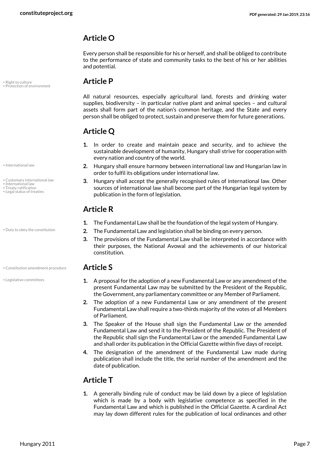### **Article O**

Every person shall be responsible for his or herself, and shall be obliged to contribute to the performance of state and community tasks to the best of his or her abilities and potential.

# <span id="page-6-7"></span>• Right to culture **Article P** • Protection of environment

<span id="page-6-6"></span>All natural resources, especially agricultural land, forests and drinking water supplies, biodiversity – in particular native plant and animal species – and cultural assets shall form part of the nation's common heritage, and the State and every person shall be obliged to protect, sustain and preserve them for future generations.

### **Article Q**

- **1.** In order to create and maintain peace and security, and to achieve the sustainable development of humanity, Hungary shall strive for cooperation with every nation and country of the world.
- **2.** Hungary shall ensure harmony between international law and Hungarian law in order to fulfil its obligations under international law.
- <span id="page-6-1"></span>**3.** Hungary shall accept the generally recognised rules of international law. Other sources of international law shall become part of the Hungarian legal system by publication in the form of legislation.

### **Article R**

- <span id="page-6-2"></span>**1.** The Fundamental Law shall be the foundation of the legal system of Hungary.
- Duty to obey the constitution **2.** The Fundamental Law and legislation shall be binding on every person.
	- **3.** The provisions of the Fundamental Law shall be interpreted in accordance with their purposes, the National Avowal and the achievements of our historical constitution.

- <span id="page-6-5"></span><span id="page-6-0"></span>**1.** A proposal for the adoption of a new Fundamental Law or any amendment of the present Fundamental Law may be submitted by the President of the Republic, the Government, any parliamentary committee or any Member of Parliament.
- **2.** The adoption of a new Fundamental Law or any amendment of the present Fundamental Law shall require a two-thirds majority of the votes of all Members of Parliament.
- **3.** The Speaker of the House shall sign the Fundamental Law or the amended Fundamental Law and send it to the President of the Republic. The President of the Republic shall sign the Fundamental Law or the amended Fundamental Law and shall order its publication in the Official Gazette within five days of receipt.
- **4.** The designation of the amendment of the Fundamental Law made during publication shall include the title, the serial number of the amendment and the date of publication.

### **Article T**

**1.** A generally binding rule of conduct may be laid down by a piece of legislation which is made by a body with legislative competence as specified in the Fundamental Law and which is published in the Official Gazette. A cardinal Act may lay down different rules for the publication of local ordinances and other

• International law

- <span id="page-6-8"></span><span id="page-6-3"></span>• Customary international law
- International law Treaty ratification
- <span id="page-6-4"></span>• Legal status of treaties

• Constitution amendment procedure **Article S**

• Legislative committees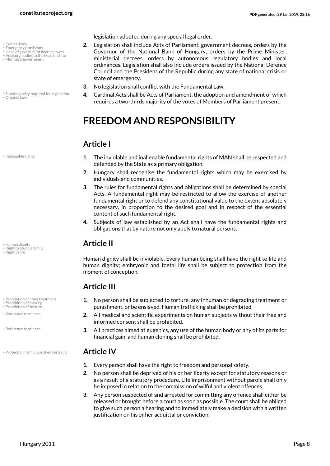- <span id="page-7-2"></span>• Central bank
- <span id="page-7-3"></span>• Emergency provisions
- Head of government decree power • Advisory bodies to the head of state
- <span id="page-7-7"></span>• Municipal government
- <span id="page-7-8"></span>• Supermajority required for legislation • Organic laws

<span id="page-7-6"></span>• Inalienable rights

<span id="page-7-5"></span>• Human dignity **Article II**

<span id="page-7-14"></span>• Right to found a family

<span id="page-7-15"></span>• Right to life

• Prohibition of cruel treatment

- <span id="page-7-11"></span><span id="page-7-10"></span>• Prohibition of slavery • Prohibition of torture
- Reference to science

<span id="page-7-13"></span>• Reference to science

• Protection from unjustified restraint **Article IV**

legislation adopted during any special legal order.

- <span id="page-7-4"></span><span id="page-7-1"></span>**2.** Legislation shall include Acts of Parliament, government decrees, orders by the Governor of the National Bank of Hungary, orders by the Prime Minister, ministerial decrees, orders by autonomous regulatory bodies and local ordinances. Legislation shall also include orders issued by the National Defence Council and the President of the Republic during any state of national crisis or state of emergency.
- **3.** No legislation shall conflict with the Fundamental Law.
- <span id="page-7-16"></span>**4.** Cardinal Acts shall be Acts of Parliament, the adoption and amendment of which requires a two-thirds majority of the votes of Members of Parliament present.

# <span id="page-7-0"></span>**FREEDOM AND RESPONSIBILITY**

### **Article I**

- **1.** The inviolable and inalienable fundamental rights of MAN shall be respected and defended by the State as a primary obligation.
- **2.** Hungary shall recognise the fundamental rights which may be exercised by individuals and communities.
- **3.** The rules for fundamental rights and obligations shall be determined by special Acts. A fundamental right may be restricted to allow the exercise of another fundamental right or to defend any constitutional value to the extent absolutely necessary, in proportion to the desired goal and in respect of the essential content of such fundamental right.
- **4.** Subjects of law established by an Act shall have the fundamental rights and obligations that by nature not only apply to natural persons.

Human dignity shall be inviolable. Every human being shall have the right to life and human dignity; embryonic and foetal life shall be subject to protection from the moment of conception.

### **Article III**

- <span id="page-7-9"></span>**1.** No person shall be subjected to torture, any inhuman or degrading treatment or punishment, or be enslaved. Human trafficking shall be prohibited.
- **2.** All medical and scientific experiments on human subjects without their free and informed consent shall be prohibited.
- **3.** All practices aimed at eugenics, any use of the human body or any of its parts for financial gain, and human cloning shall be prohibited.

- <span id="page-7-12"></span>**1.** Every person shall have the right to freedom and personal safety.
- **2.** No person shall be deprived of his or her liberty except for statutory reasons or as a result of a statutory procedure. Life imprisonment without parole shall only be imposed in relation to the commission of wilful and violent offences.
- **3.** Any person suspected of and arrested for committing any offence shall either be released or brought before a court as soon as possible. The court shall be obliged to give such person a hearing and to immediately make a decision with a written justification on his or her acquittal or conviction.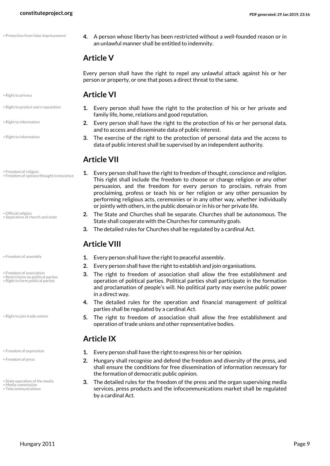- Protection from false imprisonment
- <span id="page-8-8"></span>**4.** A person whose liberty has been restricted without a well-founded reason or in an unlawful manner shall be entitled to indemnity.

### **Article V**

Every person shall have the right to repel any unlawful attack against his or her person or property, or one that poses a direct threat to the same.

### • Right to privacy **Article VI**

- <span id="page-8-14"></span>**1.** Every person shall have the right to the protection of his or her private and family life, home, relations and good reputation.
- **2.** Every person shall have the right to the protection of his or her personal data, and to access and disseminate data of public interest.
- **3.** The exercise of the right to the protection of personal data and the access to data of public interest shall be supervised by an independent authority.

### **Article VII**

- <span id="page-8-3"></span>**1.** Every person shall have the right to freedom of thought, conscience and religion. This right shall include the freedom to choose or change religion or any other persuasion, and the freedom for every person to proclaim, refrain from proclaiming, profess or teach his or her religion or any other persuasion by performing religious acts, ceremonies or in any other way, whether individually or jointly with others, in the public domain or in his or her private life.
- <span id="page-8-15"></span>**2.** The State and Churches shall be separate. Churches shall be autonomous. The State shall cooperate with the Churches for community goals.
- **3.** The detailed rules for Churches shall be regulated by a cardinal Act.

### <span id="page-8-10"></span><span id="page-8-9"></span>**Article VIII**

- Freedom of assembly **1.** Every person shall have the right to peaceful assembly.
	- **2.** Every person shall have the right to establish and join organisations.
	- **3.** The right to freedom of association shall allow the free establishment and operation of political parties. Political parties shall participate in the formation and proclamation of people's will. No political party may exercise public power in a direct way.
	- **4.** The detailed rules for the operation and financial management of political parties shall be regulated by a cardinal Act.
	- **5.** The right to freedom of association shall allow the free establishment and operation of trade unions and other representative bodies.

### <span id="page-8-12"></span>**Article IX**

- **Example 2.** Every person shall have the right to express his or her opinion.
	- **2.** Hungary shall recognise and defend the freedom and diversity of the press, and shall ensure the conditions for free dissemination of information necessary for the formation of democratic public opinion.
	- **3.** The detailed rules for the freedom of the press and the organ supervising media services, press products and the infocommunications market shall be regulated by a cardinal Act.

<span id="page-8-13"></span>

- Right to protect one's reputation
- Right to information
- <span id="page-8-11"></span>• Right to information

<span id="page-8-5"></span>• Freedom of religion • Freedom of opinion/thought/conscience

<span id="page-8-7"></span>• Official religion • Separation of church and state

<span id="page-8-0"></span>

- <span id="page-8-1"></span>Freedom of association
- Restrictions on political parties Right to form political parties

• Right to join trade unions

- <span id="page-8-2"></span>
- <span id="page-8-4"></span>• Freedom of press
- <span id="page-8-16"></span><span id="page-8-6"></span>• State operation of the media • Media commissi
- <span id="page-8-17"></span>• Telecommunications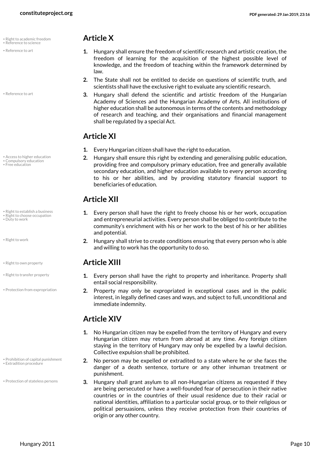- <span id="page-9-9"></span>• Right to academic freedom **Article X** • Reference to science
- Reference to art
- <span id="page-9-8"></span>• Reference to art

- Access to higher education
- <span id="page-9-4"></span>• Compulsory education • Free education
- Right to establish a business • Right to choose occupation
- <span id="page-9-2"></span>• Duty to work
- <span id="page-9-15"></span>• Right to work
- <span id="page-9-13"></span>
- Right to transfer property
- Protection from expropriation

- Prohibition of capital punishment • Extradition procedure
- Protection of stateless persons

- <span id="page-9-10"></span>**1.** Hungary shall ensure the freedom of scientific research and artistic creation, the freedom of learning for the acquisition of the highest possible level of knowledge, and the freedom of teaching within the framework determined by law.
- **2.** The State shall not be entitled to decide on questions of scientific truth, and scientists shall have the exclusive right to evaluate any scientific research.
- **3.** Hungary shall defend the scientific and artistic freedom of the Hungarian Academy of Sciences and the Hungarian Academy of Arts. All institutions of higher education shall be autonomous in terms of the contents and methodology of research and teaching, and their organisations and financial management shall be regulated by a special Act.

### **Article XI**

- **1.** Every Hungarian citizen shall have the right to education.
- <span id="page-9-1"></span><span id="page-9-0"></span>**2.** Hungary shall ensure this right by extending and generalising public education, providing free and compulsory primary education, free and generally available secondary education, and higher education available to every person according to his or her abilities, and by providing statutory financial support to beneficiaries of education.

### **Article XII**

- <span id="page-9-12"></span><span id="page-9-11"></span>**1.** Every person shall have the right to freely choose his or her work, occupation and entrepreneurial activities. Every person shall be obliged to contribute to the community's enrichment with his or her work to the best of his or her abilities and potential.
- **2.** Hungary shall strive to create conditions ensuring that every person who is able and willing to work has the opportunity to do so.

### • Right to own property **Article XIII**

- <span id="page-9-14"></span>**1.** Every person shall have the right to property and inheritance. Property shall entail social responsibility.
- <span id="page-9-6"></span>**2.** Property may only be expropriated in exceptional cases and in the public interest, in legally defined cases and ways, and subject to full, unconditional and immediate indemnity.

### **Article XIV**

- **1.** No Hungarian citizen may be expelled from the territory of Hungary and every Hungarian citizen may return from abroad at any time. Any foreign citizen staying in the territory of Hungary may only be expelled by a lawful decision. Collective expulsion shall be prohibited.
- <span id="page-9-5"></span><span id="page-9-3"></span>**2.** No person may be expelled or extradited to a state where he or she faces the danger of a death sentence, torture or any other inhuman treatment or punishment.
- <span id="page-9-7"></span>**3.** Hungary shall grant asylum to all non-Hungarian citizens as requested if they are being persecuted or have a well-founded fear of persecution in their native countries or in the countries of their usual residence due to their racial or national identities, affiliation to a particular social group, or to their religious or political persuasions, unless they receive protection from their countries of origin or any other country.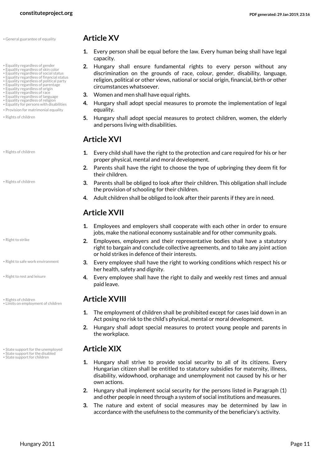• General guarantee of equality **Article XV**

- Equality regardless of gender
- Equality regardless of skin color Equality regardless of social status
- Equality regardless of financial status
- Equality regardless of political party
- Equality regardless of parentage Equality regardless of origin
- Equality regardless of race
- Equality regardless of language • Equality regardless of religion
- Equality for persons with disabilities
- Provision for matrimonial equality
- Rights of children
- Rights of children
- Rights of children

<span id="page-10-16"></span>• Right to strike

- Right to safe work environment
- Right to rest and leisure
- <span id="page-10-17"></span>• Rights of children **Article XVIII** • Limits on employment of children
- **State support for the unemployed Article XIX**
- State support for the disabled<br>• State support for children

- <span id="page-10-11"></span>**1.** Every person shall be equal before the law. Every human being shall have legal capacity.
- <span id="page-10-10"></span><span id="page-10-9"></span><span id="page-10-2"></span><span id="page-10-1"></span>**2.** Hungary shall ensure fundamental rights to every person without any discrimination on the grounds of race, colour, gender, disability, language, religion, political or other views, national or social origin, financial, birth or other circumstances whatsoever.
- <span id="page-10-7"></span><span id="page-10-6"></span><span id="page-10-5"></span><span id="page-10-4"></span><span id="page-10-3"></span>**3.** Women and men shall have equal rights.
- <span id="page-10-13"></span><span id="page-10-8"></span><span id="page-10-0"></span>**4.** Hungary shall adopt special measures to promote the implementation of legal equality.
- **5.** Hungary shall adopt special measures to protect children, women, the elderly and persons living with disabilities.

# **Article XVI**

- **1.** Every child shall have the right to the protection and care required for his or her proper physical, mental and moral development.
- **2.** Parents shall have the right to choose the type of upbringing they deem fit for their children.
- **3.** Parents shall be obliged to look after their children. This obligation shall include the provision of schooling for their children.
- **4.** Adult children shall be obliged to look after their parents if they are in need.

# **Article XVII**

- **1.** Employees and employers shall cooperate with each other in order to ensure jobs, make the national economy sustainable and for other community goals.
- **2.** Employees, employers and their representative bodies shall have a statutory right to bargain and conclude collective agreements, and to take any joint action or hold strikes in defence of their interests.
- <span id="page-10-15"></span>**3.** Every employee shall have the right to working conditions which respect his or her health, safety and dignity.
- <span id="page-10-14"></span>**4.** Every employee shall have the right to daily and weekly rest times and annual paid leave.

- <span id="page-10-12"></span>**1.** The employment of children shall be prohibited except for cases laid down in an Act posing no risk to the child's physical, mental or moral development.
- **2.** Hungary shall adopt special measures to protect young people and parents in the workplace.

- <span id="page-10-20"></span><span id="page-10-19"></span><span id="page-10-18"></span>**1.** Hungary shall strive to provide social security to all of its citizens. Every Hungarian citizen shall be entitled to statutory subsidies for maternity, illness, disability, widowhood, orphanage and unemployment not caused by his or her own actions.
- **2.** Hungary shall implement social security for the persons listed in Paragraph (1) and other people in need through a system of social institutions and measures.
- **3.** The nature and extent of social measures may be determined by law in accordance with the usefulness to the community of the beneficiary's activity.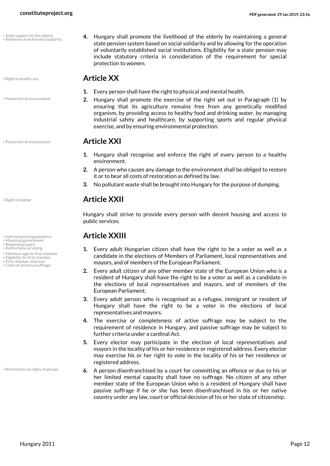<span id="page-11-11"></span>

• Protection of environment

**• Protection of environment Article XXI** 

- Municipal government
- <span id="page-11-10"></span><span id="page-11-8"></span>
- Regional group(s)<br>• Restrictions on voting
- Minimum age for first chamber
- Eligibility for first chamber
- First chamber selection • Claim of universal suffrage

• Restrictions on rights of groups

<span id="page-11-13"></span><span id="page-11-7"></span>**4.** Hungary shall promote the livelihood of the elderly by maintaining a general state pension system based on social solidarity and by allowing for the operation of voluntarily established social institutions. Eligibility for a state pension may include statutory criteria in consideration of the requirement for special protection to women.

### • Right to health care **Article XX**

- **1.** Every person shall have the right to physical and mental health.
- **2.** Hungary shall promote the exercise of the right set out in Paragraph (1) by ensuring that its agriculture remains free from any genetically modified organism, by providing access to healthy food and drinking water, by managing industrial safety and healthcare, by supporting sports and regular physical exercise, and by ensuring environmental protection.

- <span id="page-11-6"></span>**1.** Hungary shall recognise and enforce the right of every person to a healthy environment.
- **2.** A person who causes any damage to the environment shall be obliged to restore it or to bear all costs of restoration as defined by law.
- **3.** No pollutant waste shall be brought into Hungary for the purpose of dumping.

### <span id="page-11-12"></span>• Right to shelter **Article XXII**

Hungary shall strive to provide every person with decent housing and access to public services.

### • International organizations **Article XXIII**

- <span id="page-11-5"></span><span id="page-11-4"></span><span id="page-11-3"></span><span id="page-11-1"></span>**1.** Every adult Hungarian citizen shall have the right to be a voter as well as a candidate in the elections of Members of Parliament, local representatives and mayors, and of members of the European Parliament.
- <span id="page-11-2"></span><span id="page-11-0"></span>**2.** Every adult citizen of any other member state of the European Union who is a resident of Hungary shall have the right to be a voter as well as a candidate in the elections of local representatives and mayors, and of members of the European Parliament.
- **3.** Every adult person who is recognised as a refugee, immigrant or resident of Hungary shall have the right to be a voter in the elections of local representatives and mayors.
- **4.** The exercise or completeness of active suffrage may be subject to the requirement of residence in Hungary, and passive suffrage may be subject to further criteria under a cardinal Act.
- **5.** Every elector may participate in the election of local representatives and mayors in the locality of his or her residence or registered address. Every elector may exercise his or her right to vote in the locality of his or her residence or registered address.
- <span id="page-11-9"></span>**6.** A person disenfranchised by a court for committing an offence or due to his or her limited mental capacity shall have no suffrage. No citizen of any other member state of the European Union who is a resident of Hungary shall have passive suffrage if he or she has been disenfranchised in his or her native country under any law, court or official decision of his or her state of citizenship.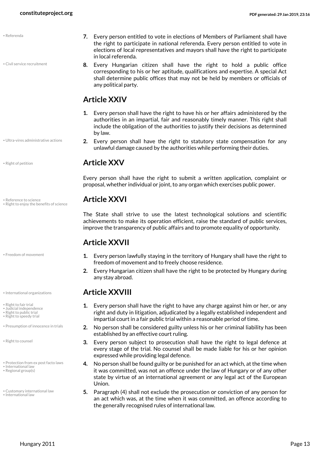<span id="page-12-9"></span>• Civil service recruitment

• Ultra-vires administrative actions

<span id="page-12-11"></span>

<span id="page-12-8"></span>**• Reference to science <b>Article XXVI** • Right to enjoy the benefits of science

• Freedom of movement

- 
- <span id="page-12-14"></span>• Right to fair trial
- <span id="page-12-15"></span><span id="page-12-5"></span>• Judicial independence • Right to public trial
- <span id="page-12-16"></span>• Right to speedy trial
- Presumption of innocence in trials

<span id="page-12-12"></span>• Right to counsel

- Protection from ex post facto laws
- <span id="page-12-10"></span>International law • Regional group(s)

<span id="page-12-3"></span>• Customary international law • International law

- **7.** Every person entitled to vote in elections of Members of Parliament shall have the right to participate in national referenda. Every person entitled to vote in elections of local representatives and mayors shall have the right to participate in local referenda.
- <span id="page-12-0"></span>**8.** Every Hungarian citizen shall have the right to hold a public office corresponding to his or her aptitude, qualifications and expertise. A special Act shall determine public offices that may not be held by members or officials of any political party.

### **Article XXIV**

- **1.** Every person shall have the right to have his or her affairs administered by the authorities in an impartial, fair and reasonably timely manner. This right shall include the obligation of the authorities to justify their decisions as determined by law.
- <span id="page-12-17"></span>**2.** Every person shall have the right to statutory state compensation for any unlawful damage caused by the authorities while performing their duties.

### • Right of petition **Article XXV**

Every person shall have the right to submit a written application, complaint or proposal, whether individual or joint, to any organ which exercises public power.

<span id="page-12-13"></span>The State shall strive to use the latest technological solutions and scientific achievements to make its operation efficient, raise the standard of public services, improve the transparency of public affairs and to promote equality of opportunity.

### **Article XXVII**

- <span id="page-12-2"></span>**1.** Every person lawfully staying in the territory of Hungary shall have the right to freedom of movement and to freely choose residence.
- **2.** Every Hungarian citizen shall have the right to be protected by Hungary during any stay abroad.

### • International organizations **Article XXVIII**

- <span id="page-12-4"></span>**1.** Every person shall have the right to have any charge against him or her, or any right and duty in litigation, adjudicated by a legally established independent and impartial court in a fair public trial within a reasonable period of time.
- <span id="page-12-6"></span>**2.** No person shall be considered guilty unless his or her criminal liability has been established by an effective court ruling.
- **3.** Every person subject to prosecution shall have the right to legal defence at every stage of the trial. No counsel shall be made liable for his or her opinion expressed while providing legal defence.
- <span id="page-12-7"></span>**4.** No person shall be found guilty or be punished for an act which, at the time when it was committed, was not an offence under the law of Hungary or of any other state by virtue of an international agreement or any legal act of the European Union.
- <span id="page-12-1"></span>**5.** Paragraph (4) shall not exclude the prosecution or conviction of any person for an act which was, at the time when it was committed, an offence according to the generally recognised rules of international law.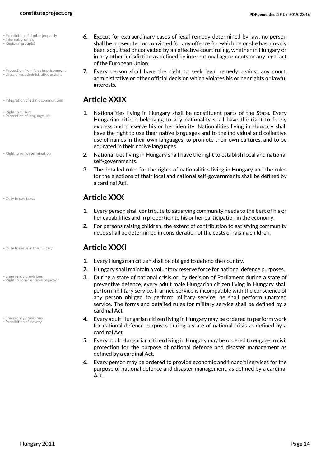- <span id="page-13-4"></span>• Prohibition of double jeopardy
- <span id="page-13-9"></span>• International law • Regional group(s)
- Protection from false imprisonment • Ultra-vires administrative actions
- Integration of ethnic communities **Article XXIX**
- <span id="page-13-11"></span>• Right to culture • Protection of language use

• Right to self determination

<span id="page-13-0"></span>

• Emergency provisions • Right to conscientious objection

<span id="page-13-6"></span><span id="page-13-2"></span>• Emergency provisions • Prohibition of slavery

- 
- <span id="page-13-5"></span>**6.** Except for extraordinary cases of legal remedy determined by law, no person shall be prosecuted or convicted for any offence for which he or she has already been acquitted or convicted by an effective court ruling, whether in Hungary or in any other jurisdiction as defined by international agreements or any legal act of the European Union.
- <span id="page-13-13"></span><span id="page-13-7"></span>**7.** Every person shall have the right to seek legal remedy against any court, administrative or other official decision which violates his or her rights or lawful **interests**

- <span id="page-13-8"></span><span id="page-13-3"></span>**1.** Nationalities living in Hungary shall be constituent parts of the State. Every Hungarian citizen belonging to any nationality shall have the right to freely express and preserve his or her identity. Nationalities living in Hungary shall have the right to use their native languages and to the individual and collective use of names in their own languages, to promote their own cultures, and to be educated in their native languages.
- <span id="page-13-12"></span>**2.** Nationalities living in Hungary shall have the right to establish local and national self-governments.
- **3.** The detailed rules for the rights of nationalities living in Hungary and the rules for the elections of their local and national self-governments shall be defined by a cardinal Act.

### • Duty to pay taxes **Article XXX**

- **1.** Every person shall contribute to satisfying community needs to the best of his or her capabilities and in proportion to his or her participation in the economy.
- **2.** For persons raising children, the extent of contribution to satisfying community needs shall be determined in consideration of the costs of raising children.

### • Duty to serve in the military **Article XXXI**

- <span id="page-13-1"></span>**1.** Every Hungarian citizen shall be obliged to defend the country.
- **2.** Hungary shall maintain a voluntary reserve force for national defence purposes.
- <span id="page-13-10"></span>**3.** During a state of national crisis or, by decision of Parliament during a state of preventive defence, every adult male Hungarian citizen living in Hungary shall perform military service. If armed service is incompatible with the conscience of any person obliged to perform military service, he shall perform unarmed service. The forms and detailed rules for military service shall be defined by a cardinal Act.
- **4.** Every adult Hungarian citizen living in Hungary may be ordered to perform work for national defence purposes during a state of national crisis as defined by a cardinal Act.
- **5.** Every adult Hungarian citizen living in Hungary may be ordered to engage in civil protection for the purpose of national defence and disaster management as defined by a cardinal Act.
- **6.** Every person may be ordered to provide economic and financial services for the purpose of national defence and disaster management, as defined by a cardinal Act.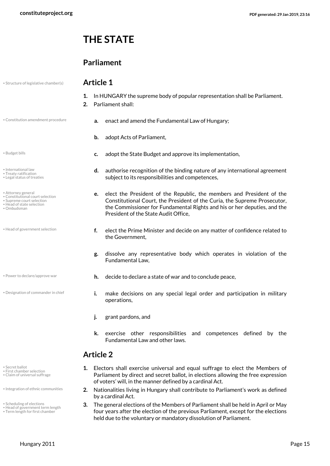# <span id="page-14-0"></span>**THE STATE**

### **Parliament**

• Structure of legislative chamber(s) **Article 1**

- <span id="page-14-18"></span>**1.** In HUNGARY the supreme body of popular representation shall be Parliament.
- <span id="page-14-4"></span>**2.** Parliament shall:
- 
- <span id="page-14-2"></span>
- <span id="page-14-12"></span>• International law
- <span id="page-14-21"></span><span id="page-14-13"></span>• Treaty ratification • Legal status of treaties
- Attorney general
- <span id="page-14-5"></span><span id="page-14-1"></span>• Constitutional court selection
- <span id="page-14-19"></span>• Supreme court selection
- <span id="page-14-10"></span>• Head of state selection
- <span id="page-14-14"></span>• Ombudsman
- <span id="page-14-8"></span>• Head of government selection
- 
- <span id="page-14-6"></span>• Designation of commander in chief

- <span id="page-14-17"></span>• Secret ballot
- First chamber selection
- Claim of universal suffrage
- Integration of ethnic communities
- Scheduling of elections
- Head of government term length Term length for first chamber
- 
- Constitution amendment procedure **a.** enact and amend the Fundamental Law of Hungary;
	- **b.** adopt Acts of Parliament,
- **EDUD c.** adopt the State Budget and approve its implementation,
	- **d.** authorise recognition of the binding nature of any international agreement subject to its responsibilities and competences,
	- **e.** elect the President of the Republic, the members and President of the Constitutional Court, the President of the Curia, the Supreme Prosecutor, the Commissioner for Fundamental Rights and his or her deputies, and the President of the State Audit Office,
	- **f.** elect the Prime Minister and decide on any matter of confidence related to the Government,
	- **g.** dissolve any representative body which operates in violation of the Fundamental Law,
- <span id="page-14-15"></span>• Power to declare/approve war **h.** decide to declare a state of war and to conclude peace.
	- **i.** make decisions on any special legal order and participation in military operations,
	- **j.** grant pardons, and
	- **k.** exercise other responsibilities and competences defined by the Fundamental Law and other laws.

### **Article 2**

- <span id="page-14-7"></span><span id="page-14-3"></span>**1.** Electors shall exercise universal and equal suffrage to elect the Members of Parliament by direct and secret ballot, in elections allowing the free expression of voters' will, in the manner defined by a cardinal Act.
- <span id="page-14-11"></span>**2.** Nationalities living in Hungary shall contribute to Parliament's work as defined by a cardinal Act.
- <span id="page-14-20"></span><span id="page-14-16"></span><span id="page-14-9"></span>**3.** The general elections of the Members of Parliament shall be held in April or May four years after the election of the previous Parliament, except for the elections held due to the voluntary or mandatory dissolution of Parliament.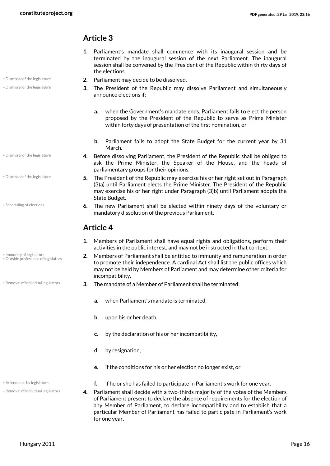### **Article 3**

- **1.** Parliament's mandate shall commence with its inaugural session and be terminated by the inaugural session of the next Parliament. The inaugural session shall be convened by the President of the Republic within thirty days of the elections.
- **2.** Parliament may decide to be dissolved. Dismissal of the legislature
	- **3.** The President of the Republic may dissolve Parliament and simultaneously announce elections if:
		- **a.** when the Government's mandate ends, Parliament fails to elect the person proposed by the President of the Republic to serve as Prime Minister within forty days of presentation of the first nomination, or
		- **b.** Parliament fails to adopt the State Budget for the current year by 31 March.
	- **4.** Before dissolving Parliament, the President of the Republic shall be obliged to ask the Prime Minister, the Speaker of the House, and the heads of parliamentary groups for their opinions.
	- **5.** The President of the Republic may exercise his or her right set out in Paragraph (3)a) until Parliament elects the Prime Minister. The President of the Republic may exercise his or her right under Paragraph (3)b) until Parliament adopts the State Budget.
	- **6.** The new Parliament shall be elected within ninety days of the voluntary or mandatory dissolution of the previous Parliament.

### **Article 4**

- **1.** Members of Parliament shall have equal rights and obligations, perform their activities in the public interest, and may not be instructed in that context.
- <span id="page-15-3"></span><span id="page-15-2"></span>**2.** Members of Parliament shall be entitled to immunity and remuneration in order to promote their independence. A cardinal Act shall list the public offices which may not be held by Members of Parliament and may determine other criteria for incompatibility.
- **\*** Removal of individual legislators **3.** The mandate of a Member of Parliament shall be terminated:
	- **a.** when Parliament's mandate is terminated,
	- **b.** upon his or her death,
	- **c.** by the declaration of his or her incompatibility,
	- **d.** by resignation,
	- **e.** if the conditions for his or her election no longer exist, or
- **Attendance by legislators f.** if he or she has failed to participate in Parliament's work for one year.
	- **4.** Parliament shall decide with a two-thirds majority of the votes of the Members of Parliament present to declare the absence of requirements for the election of any Member of Parliament, to declare incompatibility and to establish that a particular Member of Parliament has failed to participate in Parliament's work for one year.

• Dismissal of the legislature

• Dismissal of the legislature

- <span id="page-15-1"></span>• Dismissal of the legislature
- <span id="page-15-5"></span>• Scheduling of elections
- Immunity of legislators • Outside professions of legislators

<span id="page-15-4"></span><span id="page-15-0"></span>

• Removal of individual legislators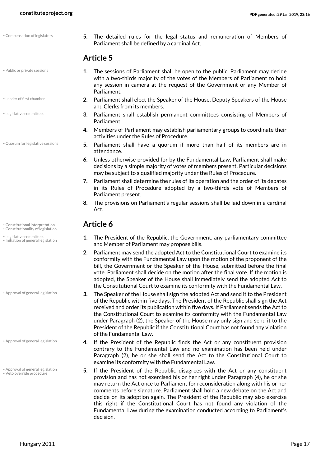- Public or private sessions
- Leader of first chamber
- Legislative committees
- Quorum for legislative sessions

- Constitutional interpretation **Article 6** Constitutionality of legislation
- Legislative committees • Initiation of general legislation

- Approval of general legislation
- Approval of general legislation
- Approval of general legislation • Veto override procedure

<span id="page-16-1"></span>**5.** The detailed rules for the legal status and remuneration of Members of Parliament shall be defined by a cardinal Act.

### **Article 5**

- <span id="page-16-7"></span>**1.** The sessions of Parliament shall be open to the public. Parliament may decide with a two-thirds majority of the votes of the Members of Parliament to hold any session in camera at the request of the Government or any Member of Parliament.
- <span id="page-16-5"></span>**2.** Parliament shall elect the Speaker of the House, Deputy Speakers of the House and Clerks from its members.
- **3.** Parliament shall establish permanent committees consisting of Members of Parliament.
- **4.** Members of Parliament may establish parliamentary groups to coordinate their activities under the Rules of Procedure.
- <span id="page-16-8"></span>**5.** Parliament shall have a quorum if more than half of its members are in attendance.
- **6.** Unless otherwise provided for by the Fundamental Law, Parliament shall make decisions by a simple majority of votes of members present. Particular decisions may be subject to a qualified majority under the Rules of Procedure.
- **7.** Parliament shall determine the rules of its operation and the order of its debates in its Rules of Procedure adopted by a two-thirds vote of Members of Parliament present.
- **8.** The provisions on Parliament's regular sessions shall be laid down in a cardinal Act.

- <span id="page-16-6"></span><span id="page-16-4"></span><span id="page-16-3"></span><span id="page-16-2"></span>**1.** The President of the Republic, the Government, any parliamentary committee and Member of Parliament may propose bills.
- **2.** Parliament may send the adopted Act to the Constitutional Court to examine its conformity with the Fundamental Law upon the motion of the proponent of the bill, the Government or the Speaker of the House, submitted before the final vote. Parliament shall decide on the motion after the final vote. If the motion is adopted, the Speaker of the House shall immediately send the adopted Act to the Constitutional Court to examine its conformity with the Fundamental Law.
- **3.** The Speaker of the House shall sign the adopted Act and send it to the President of the Republic within five days. The President of the Republic shall sign the Act received and order its publication within five days. If Parliament sends the Act to the Constitutional Court to examine its conformity with the Fundamental Law under Paragraph (2), the Speaker of the House may only sign and send it to the President of the Republic if the Constitutional Court has not found any violation of the Fundamental Law.
- **4.** If the President of the Republic finds the Act or any constituent provision contrary to the Fundamental Law and no examination has been held under Paragraph (2), he or she shall send the Act to the Constitutional Court to examine its conformity with the Fundamental Law.
- <span id="page-16-9"></span><span id="page-16-0"></span>**5.** If the President of the Republic disagrees with the Act or any constituent provision and has not exercised his or her right under Paragraph (4), he or she may return the Act once to Parliament for reconsideration along with his or her comments before signature. Parliament shall hold a new debate on the Act and decide on its adoption again. The President of the Republic may also exercise this right if the Constitutional Court has not found any violation of the Fundamental Law during the examination conducted according to Parliament's decision.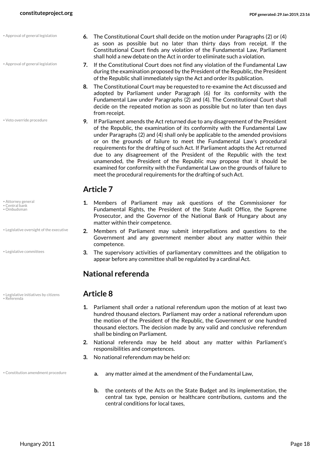• Approval of general legislation

• Approval of general legislation

• Veto override procedure

- <span id="page-17-1"></span>• Attorney general
- <span id="page-17-7"></span><span id="page-17-2"></span>• Central bank • Ombudsman
- Legislative oversight of the executive

• Legislative committees

<span id="page-17-8"></span>• Legislative initiatives by citizens **Article 8** • Referenda

- **6.** The Constitutional Court shall decide on the motion under Paragraphs (2) or (4) as soon as possible but no later than thirty days from receipt. If the Constitutional Court finds any violation of the Fundamental Law, Parliament shall hold a new debate on the Act in order to eliminate such a violation.
- <span id="page-17-0"></span>**7.** If the Constitutional Court does not find any violation of the Fundamental Law during the examination proposed by the President of the Republic, the President of the Republic shall immediately sign the Act and order its publication.
- **8.** The Constitutional Court may be requested to re-examine the Act discussed and adopted by Parliament under Paragraph (6) for its conformity with the Fundamental Law under Paragraphs (2) and (4). The Constitutional Court shall decide on the repeated motion as soon as possible but no later than ten days from receipt.
- <span id="page-17-9"></span>**9.** If Parliament amends the Act returned due to any disagreement of the President of the Republic, the examination of its conformity with the Fundamental Law under Paragraphs (2) and (4) shall only be applicable to the amended provisions or on the grounds of failure to meet the Fundamental Law's procedural requirements for the drafting of such Act. If Parliament adopts the Act returned due to any disagreement of the President of the Republic with the text unamended, the President of the Republic may propose that it should be examined for conformity with the Fundamental Law on the grounds of failure to meet the procedural requirements for the drafting of such Act.

### **Article 7**

- **1.** Members of Parliament may ask questions of the Commissioner for Fundamental Rights, the President of the State Audit Office, the Supreme Prosecutor, and the Governor of the National Bank of Hungary about any matter within their competence.
- <span id="page-17-6"></span>**2.** Members of Parliament may submit interpellations and questions to the Government and any government member about any matter within their competence.
- <span id="page-17-4"></span>**3.** The supervisory activities of parliamentary committees and the obligation to appear before any committee shall be regulated by a cardinal Act.

### **National referenda**

- <span id="page-17-5"></span>**1.** Parliament shall order a national referendum upon the motion of at least two hundred thousand electors. Parliament may order a national referendum upon the motion of the President of the Republic, the Government or one hundred thousand electors. The decision made by any valid and conclusive referendum shall be binding on Parliament.
- **2.** National referenda may be held about any matter within Parliament's responsibilities and competences.
- <span id="page-17-3"></span>**3.** No national referendum may be held on:
- 
- Constitution amendment procedure **a.** any matter aimed at the amendment of the Fundamental Law,
	- **b.** the contents of the Acts on the State Budget and its implementation, the central tax type, pension or healthcare contributions, customs and the central conditions for local taxes,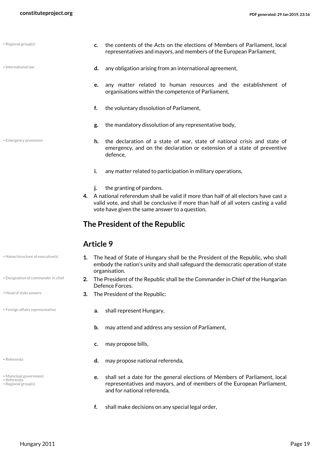<span id="page-18-4"></span>• Regional group(s)

|                        |    | representatives and mayors, and members of the European Parliament,                                                                                                       |  |
|------------------------|----|---------------------------------------------------------------------------------------------------------------------------------------------------------------------------|--|
| · International law    | d. | any obligation arising from an international agreement,                                                                                                                   |  |
|                        |    | e. any matter related to human resources and the establishment of<br>organisations within the competence of Parliament,                                                   |  |
|                        | f. | the voluntary dissolution of Parliament,                                                                                                                                  |  |
|                        | g. | the mandatory dissolution of any representative body,                                                                                                                     |  |
| • Emergency provisions |    | <b>h.</b> the declaration of a state of war, state of national crisis and state of<br>emergency, and on the declaration or extension of a state of preventive<br>defence, |  |
|                        | i. | any matter related to participation in military operations,                                                                                                               |  |

- **j.** the granting of pardons.
- <span id="page-18-1"></span>**4.** A national referendum shall be valid if more than half of all electors have cast a valid vote, and shall be conclusive if more than half of all voters casting a valid vote have given the same answer to a question.

**c.** the contents of the Acts on the elections of Members of Parliament, local

### **The President of the Republic**

### **Article 9**

- <span id="page-18-6"></span>**1.** The head of State of Hungary shall be the President of the Republic, who shall embody the nation's unity and shall safeguard the democratic operation of state organisation.
- <span id="page-18-2"></span><span id="page-18-0"></span>**2.** The President of the Republic shall be the Commander in Chief of the Hungarian Defence Forces.
- Head of state powers **3.** The President of the Republic:
- Foreign affairs representative **a.** shall represent Hungary,
	- **b.** may attend and address any session of Parliament,
	- **c.** may propose bills,
- Referenda **d.** may propose national referenda,
	- **e.** shall set a date for the general elections of Members of Parliament, local representatives and mayors, and of members of the European Parliament, and for national referenda,
	- **f.** shall make decisions on any special legal order,

• Name/structure of executive(s)

- Designation of commander in chief
- <span id="page-18-3"></span>
- 
- 
- Municipal government
- <span id="page-18-8"></span><span id="page-18-7"></span><span id="page-18-5"></span>• Referenda • Regional group(s)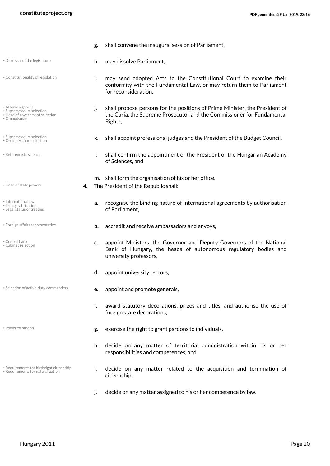- <span id="page-19-18"></span><span id="page-19-17"></span><span id="page-19-16"></span><span id="page-19-15"></span><span id="page-19-14"></span><span id="page-19-13"></span><span id="page-19-12"></span><span id="page-19-11"></span><span id="page-19-10"></span><span id="page-19-9"></span><span id="page-19-8"></span><span id="page-19-7"></span><span id="page-19-6"></span><span id="page-19-5"></span><span id="page-19-4"></span><span id="page-19-3"></span><span id="page-19-2"></span><span id="page-19-1"></span><span id="page-19-0"></span>**g.** shall convene the inaugural session of Parliament, **h.** may dissolve Parliament, • Dismissal of the legislature **i.** may send adopted Acts to the Constitutional Court to examine their conformity with the Fundamental Law, or may return them to Parliament for reconsideration, • Constitutionality of legislation **j.** shall propose persons for the positions of Prime Minister, the President of the Curia, the Supreme Prosecutor and the Commissioner for Fundamental Rights, • Attorney general • Supreme court selection • Head of government selection • Ombudsman **e** Supreme court selection **the Budget Council, k.** shall appoint professional judges and the President of the Budget Council, • Ordinary court selection **l.** shall confirm the appointment of the President of the Hungarian Academy of Sciences, and • Reference to science **m.** shall form the organisation of his or her office. **4.** The President of the Republic shall: • Head of state powers **a.** recognise the binding nature of international agreements by authorisation of Parliament, • International law • Treaty ratification • Legal status of treaties • Foreign affairs representative **b.** accredit and receive ambassadors and envoys, **c.** appoint Ministers, the Governor and Deputy Governors of the National Bank of Hungary, the heads of autonomous regulatory bodies and university professors, • Central bank • Cabinet selection **d.** appoint university rectors, **e.** appoint and promote generals, • Selection of active-duty commanders **f.** award statutory decorations, prizes and titles, and authorise the use of foreign state decorations,
	-
	- Requirements for birthright citizenship • Requirements for naturalization
	- Power to pardon **be a constructed by the server of the right to grant pardons to individuals,** 
		- **h.** decide on any matter of territorial administration within his or her responsibilities and competences, and
		- **i.** decide on any matter related to the acquisition and termination of citizenship,
		- **j.** decide on any matter assigned to his or her competence by law.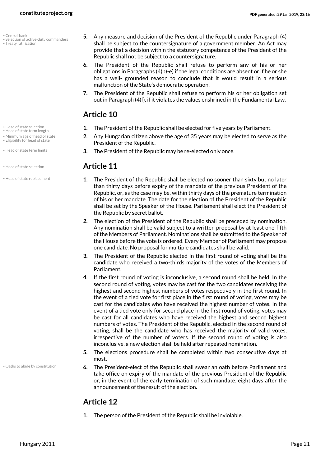<span id="page-20-0"></span>• Central bank

- Selection of active-duty commanders
- <span id="page-20-9"></span>• Treaty ratification

- 
- Head of state term length • Minimum age of head of state
- Eligibility for head of state
- <span id="page-20-5"></span>
- 
- Head of state replacement

• Oaths to abide by constitution

- <span id="page-20-8"></span>**5.** Any measure and decision of the President of the Republic under Paragraph (4) shall be subject to the countersignature of a government member. An Act may provide that a decision within the statutory competence of the President of the Republic shall not be subject to a countersignature.
- **6.** The President of the Republic shall refuse to perform any of his or her obligations in Paragraphs (4)b)-e) if the legal conditions are absent or if he or she has a well- grounded reason to conclude that it would result in a serious malfunction of the State's democratic operation.
- **7.** The President of the Republic shall refuse to perform his or her obligation set out in Paragraph (4)f), if it violates the values enshrined in the Fundamental Law.

### <span id="page-20-6"></span><span id="page-20-4"></span><span id="page-20-1"></span>**Article 10**

- Head of state selection **1.** The President of the Republic shall be elected for five years by Parliament.
	- **2.** Any Hungarian citizen above the age of 35 years may be elected to serve as the President of the Republic.
- Head of state term limits **3.** The President of the Republic may be re-elected only once.

### • Head of state selection **Article 11**

- <span id="page-20-3"></span><span id="page-20-2"></span>**1.** The President of the Republic shall be elected no sooner than sixty but no later than thirty days before expiry of the mandate of the previous President of the Republic, or, as the case may be, within thirty days of the premature termination of his or her mandate. The date for the election of the President of the Republic shall be set by the Speaker of the House. Parliament shall elect the President of the Republic by secret ballot.
- **2.** The election of the President of the Republic shall be preceded by nomination. Any nomination shall be valid subject to a written proposal by at least one-fifth of the Members of Parliament. Nominations shall be submitted to the Speaker of the House before the vote is ordered. Every Member of Parliament may propose one candidate. No proposal for multiple candidates shall be valid.
- **3.** The President of the Republic elected in the first round of voting shall be the candidate who received a two-thirds majority of the votes of the Members of Parliament.
- **4.** If the first round of voting is inconclusive, a second round shall be held. In the second round of voting, votes may be cast for the two candidates receiving the highest and second highest numbers of votes respectively in the first round. In the event of a tied vote for first place in the first round of voting, votes may be cast for the candidates who have received the highest number of votes. In the event of a tied vote only for second place in the first round of voting, votes may be cast for all candidates who have received the highest and second highest numbers of votes. The President of the Republic, elected in the second round of voting, shall be the candidate who has received the majority of valid votes, irrespective of the number of voters. If the second round of voting is also inconclusive, a new election shall be held after repeated nomination.
- **5.** The elections procedure shall be completed within two consecutive days at most.
- <span id="page-20-7"></span>**6.** The President-elect of the Republic shall swear an oath before Parliament and take office on expiry of the mandate of the previous President of the Republic or, in the event of the early termination of such mandate, eight days after the announcement of the result of the election.

### **Article 12**

**1.** The person of the President of the Republic shall be inviolable.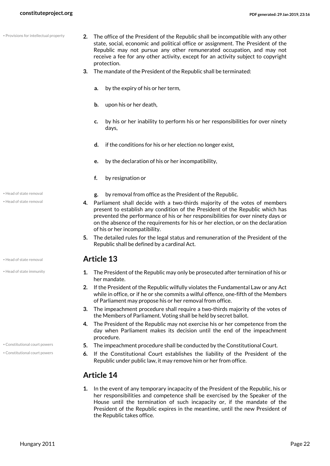|  | · Provisions for intellectual property |  |
|--|----------------------------------------|--|

- <span id="page-21-3"></span>**2.** The office of the President of the Republic shall be incompatible with any other state, social, economic and political office or assignment. The President of the Republic may not pursue any other remunerated occupation, and may not receive a fee for any other activity, except for an activity subject to copyright protection.
- **3.** The mandate of the President of the Republic shall be terminated:
	- **a.** by the expiry of his or her term,
	- **b.** upon his or her death,
	- **c.** by his or her inability to perform his or her responsibilities for over ninety days,
	- **d.** if the conditions for his or her election no longer exist,
	- **e.** by the declaration of his or her incompatibility,
	- **f.** by resignation or
- Head of state removal *g.* by removal from office as the President of the Republic.
	- **4.** Parliament shall decide with a two-thirds majority of the votes of members present to establish any condition of the President of the Republic which has prevented the performance of his or her responsibilities for over ninety days or on the absence of the requirements for his or her election, or on the declaration of his or her incompatibility.
	- **5.** The detailed rules for the legal status and remuneration of the President of the Republic shall be defined by a cardinal Act.

- <span id="page-21-1"></span>**1.** The President of the Republic may only be prosecuted after termination of his or her mandate.
- **2.** If the President of the Republic wilfully violates the Fundamental Law or any Act while in office, or if he or she commits a wilful offence, one-fifth of the Members of Parliament may propose his or her removal from office.
- **3.** The impeachment procedure shall require a two-thirds majority of the votes of the Members of Parliament. Voting shall be held by secret ballot.
- **4.** The President of the Republic may not exercise his or her competence from the day when Parliament makes its decision until the end of the impeachment procedure.
- \* Constitutional court powers **5.** The impeachment procedure shall be conducted by the Constitutional Court.
	- **6.** If the Constitutional Court establishes the liability of the President of the Republic under public law, it may remove him or her from office.

### <span id="page-21-0"></span>**Article 14**

**1.** In the event of any temporary incapacity of the President of the Republic, his or her responsibilities and competence shall be exercised by the Speaker of the House until the termination of such incapacity or, if the mandate of the President of the Republic expires in the meantime, until the new President of the Republic takes office.

• Head of state removal

<span id="page-21-2"></span>• Head of state removal **Article 13**

• Head of state immunity

• Constitutional court powers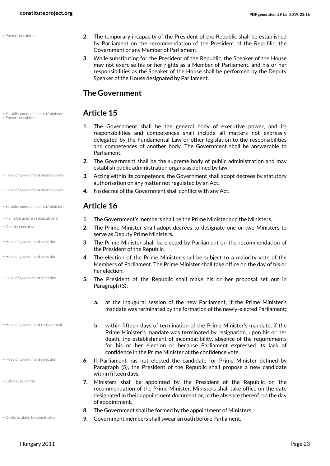• Powers of cabinet

<span id="page-22-8"></span>• Establishment of cabinet/ministers **Article 15** • Powers of cabinet

- Head of government decree power
- 
- Establishment of cabinet/ministers **Article 16**
- 
- <span id="page-22-1"></span>• Deputy executive
- Head of government selection
- Head of government selection
- Head of government selection

<span id="page-22-4"></span>• Head of government replacement

<span id="page-22-5"></span>• Head of government selection

- <span id="page-22-0"></span>• Cabinet selection
- <span id="page-22-7"></span>
- **2.** The temporary incapacity of the President of the Republic shall be established by Parliament on the recommendation of the President of the Republic, the Government or any Member of Parliament.
- **3.** While substituting for the President of the Republic, the Speaker of the House may not exercise his or her rights as a Member of Parliament, and his or her responsibilities as the Speaker of the House shall be performed by the Deputy Speaker of the House designated by Parliament.

### **The Government**

- **1.** The Government shall be the general body of executive power, and its responsibilities and competences shall include all matters not expressly delegated by the Fundamental Law or other legislation to the responsibilities and competences of another body. The Government shall be answerable to Parliament.
- **2.** The Government shall be the supreme body of public administration and may establish public administration organs as defined by law.
- <span id="page-22-6"></span><span id="page-22-3"></span><span id="page-22-2"></span>**3.** Acting within its competence, the Government shall adopt decrees by statutory authorisation on any matter not regulated by an Act.
- Head of government decree power **4.** No decree of the Government shall conflict with any Act.

- Name/structure of executive(s) **1.** The Government's members shall be the Prime Minister and the Ministers.
	- **2.** The Prime Minister shall adopt decrees to designate one or two Ministers to serve as Deputy Prime Ministers.
	- **3.** The Prime Minister shall be elected by Parliament on the recommendation of the President of the Republic.
	- **4.** The election of the Prime Minister shall be subject to a majority vote of the Members of Parliament. The Prime Minister shall take office on the day of his or her election.
	- **5.** The President of the Republic shall make his or her proposal set out in Paragraph (3):
		- **a.** at the inaugural session of the new Parliament, if the Prime Minister's mandate was terminated by the formation of the newly-elected Parliament;
		- **b.** within fifteen days of termination of the Prime Minister's mandate, if the Prime Minister's mandate was terminated by resignation, upon his or her death, the establishment of incompatibility, absence of the requirements for his or her election or because Parliament expressed its lack of confidence in the Prime Minister at the confidence vote.
	- **6.** If Parliament has not elected the candidate for Prime Minister defined by Paragraph (5), the President of the Republic shall propose a new candidate within fifteen days.
	- **7.** Ministers shall be appointed by the President of the Republic on the recommendation of the Prime Minister. Ministers shall take office on the date designated in their appointment document or, in the absence thereof, on the day of appointment.
	- **8.** The Government shall be formed by the appointment of Ministers.
- Oaths to abide by constitution **9.** Government members shall swear an oath before Parliament.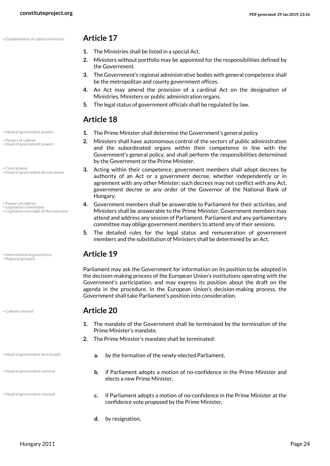• Establishment of cabinet/ministers **Article 17**

- <span id="page-23-2"></span>**1.** The Ministries shall be listed in a special Act.
- **2.** Ministers without portfolio may be appointed for the responsibilities defined by the Government.
- **3.** The Government's regional administrative bodies with general competence shall be the metropolitan and county government offices.
- **4.** An Act may amend the provision of a cardinal Act on the designation of Ministries, Ministers or public administration organs.
- **5.** The legal status of government officials shall be regulated by law.

### <span id="page-23-4"></span><span id="page-23-3"></span>**Article 18**

- Head of government powers **1.** The Prime Minister shall determine the Government's general policy.
	- **2.** Ministers shall have autonomous control of the sectors of public administration and the subordinated organs within their competence in line with the Government's general policy, and shall perform the responsibilities determined by the Government or the Prime Minister.
	- **3.** Acting within their competence, government members shall adopt decrees by authority of an Act or a government decree, whether independently or in agreement with any other Minister; such decrees may not conflict with any Act, government decree or any order of the Governor of the National Bank of Hungary.
	- **4.** Government members shall be answerable to Parliament for their activities, and Ministers shall be answerable to the Prime Minister. Government members may attend and address any session of Parliament. Parliament and any parliamentary committee may oblige government members to attend any of their sessions.
	- **5.** The detailed rules for the legal status and remuneration of government members and the substitution of Ministers shall be determined by an Act.

<span id="page-23-9"></span><span id="page-23-7"></span>Parliament may ask the Government for information on its position to be adopted in the decision-making process of the European Union's institutions operating with the Government's participation, and may express its position about the draft on the agenda in the procedure. In the European Union's decision-making process, the Government shall take Parliament's position into consideration.

### • Cabinet removal **Article 20**

- **1.** The mandate of the Government shall be terminated by the termination of the Prime Minister's mandate.
- <span id="page-23-6"></span>**2.** The Prime Minister's mandate shall be terminated:
- Head of government term length **a.** by the formation of the newly-elected Parliament,
	- **b.** if Parliament adopts a motion of no-confidence in the Prime Minister and elects a new Prime Minister,
	- **c.** if Parliament adopts a motion of no-confidence in the Prime Minister at the confidence vote proposed by the Prime Minister,
	- **d.** by resignation,

• Powers of cabinet • Head of government powers

<span id="page-23-1"></span>• Central bank • Head of government decree power

- <span id="page-23-10"></span>• Powers of cabinet • Legislative committees
- <span id="page-23-8"></span>• Legislative oversight of the executive

<span id="page-23-11"></span>• International organizations **Article 19** • Regional group(s)

<span id="page-23-0"></span>

• Head of government removal

<span id="page-23-5"></span>• Head of government removal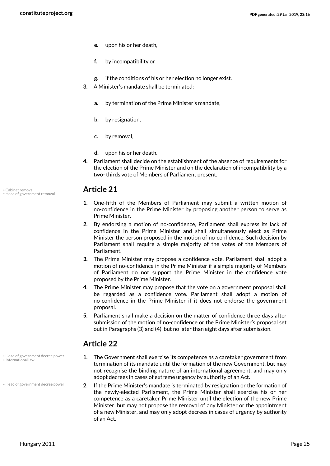- **e.** upon his or her death,
- **f.** by incompatibility or
- **g.** if the conditions of his or her election no longer exist.
- **3.** A Minister's mandate shall be terminated:
	- **a.** by termination of the Prime Minister's mandate,
	- **b.** by resignation,
	- **c.** by removal,
	- **d.** upon his or her death.
- **4.** Parliament shall decide on the establishment of the absence of requirements for the election of the Prime Minister and on the declaration of incompatibility by a two- thirds vote of Members of Parliament present.

- <span id="page-24-2"></span>**1.** One-fifth of the Members of Parliament may submit a written motion of no-confidence in the Prime Minister by proposing another person to serve as Prime Minister.
- **2.** By endorsing a motion of no-confidence, Parliament shall express its lack of confidence in the Prime Minister and shall simultaneously elect as Prime Minister the person proposed in the motion of no-confidence. Such decision by Parliament shall require a simple majority of the votes of the Members of Parliament.
- **3.** The Prime Minister may propose a confidence vote. Parliament shall adopt a motion of no-confidence in the Prime Minister if a simple majority of Members of Parliament do not support the Prime Minister in the confidence vote proposed by the Prime Minister.
- **4.** The Prime Minister may propose that the vote on a government proposal shall be regarded as a confidence vote. Parliament shall adopt a motion of no-confidence in the Prime Minister if it does not endorse the government proposal.
- **5.** Parliament shall make a decision on the matter of confidence three days after submission of the motion of no-confidence or the Prime Minister's proposal set out in Paragraphs (3) and (4), but no later than eight days after submission.

### **Article 22**

- **1.** The Government shall exercise its competence as a caretaker government from termination of its mandate until the formation of the new Government, but may not recognise the binding nature of an international agreement, and may only adopt decrees in cases of extreme urgency by authority of an Act.
- <span id="page-24-1"></span>**2.** If the Prime Minister's mandate is terminated by resignation or the formation of the newly-elected Parliament, the Prime Minister shall exercise his or her competence as a caretaker Prime Minister until the election of the new Prime Minister, but may not propose the removal of any Minister or the appointment of a new Minister, and may only adopt decrees in cases of urgency by authority of an Act.

<span id="page-24-0"></span>• Cabinet removal **Article 21** • Head of government removal

<span id="page-24-3"></span>• Head of government decree power • International law

• Head of government decree power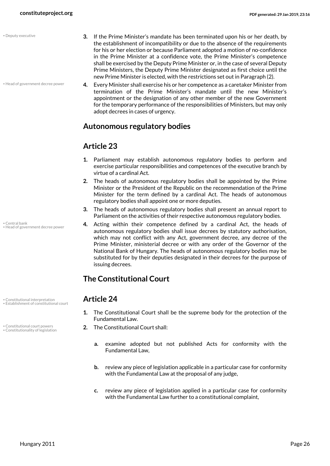<span id="page-25-4"></span>• Deputy executive

- Head of government decree power
- **3.** If the Prime Minister's mandate has been terminated upon his or her death, by the establishment of incompatibility or due to the absence of the requirements for his or her election or because Parliament adopted a motion of no-confidence in the Prime Minister at a confidence vote, the Prime Minister's competence shall be exercised by the Deputy Prime Minister or, in the case of several Deputy Prime Ministers, the Deputy Prime Minister designated as first choice until the new Prime Minister is elected, with the restrictions set out in Paragraph (2).
- **4.** Every Minister shall exercise his or her competence as a caretaker Minister from termination of the Prime Minister's mandate until the new Minister's appointment or the designation of any other member of the new Government for the temporary performance of the responsibilities of Ministers, but may only adopt decrees in cases of urgency.

### **Autonomous regulatory bodies**

### **Article 23**

- **1.** Parliament may establish autonomous regulatory bodies to perform and exercise particular responsibilities and competences of the executive branch by virtue of a cardinal Act.
- **2.** The heads of autonomous regulatory bodies shall be appointed by the Prime Minister or the President of the Republic on the recommendation of the Prime Minister for the term defined by a cardinal Act. The heads of autonomous regulatory bodies shall appoint one or more deputies.
- **3.** The heads of autonomous regulatory bodies shall present an annual report to Parliament on the activities of their respective autonomous regulatory bodies.
- <span id="page-25-6"></span>**4.** Acting within their competence defined by a cardinal Act, the heads of autonomous regulatory bodies shall issue decrees by statutory authorisation, which may not conflict with any Act, government decree, any decree of the Prime Minister, ministerial decree or with any order of the Governor of the National Bank of Hungary. The heads of autonomous regulatory bodies may be substituted for by their deputies designated in their decrees for the purpose of issuing decrees.

### **The Constitutional Court**

- <span id="page-25-5"></span><span id="page-25-3"></span><span id="page-25-2"></span><span id="page-25-1"></span>**1.** The Constitutional Court shall be the supreme body for the protection of the Fundamental Law.
- **2.** The Constitutional court powers **2.** The Constitutional Court shall:
	- **a.** examine adopted but not published Acts for conformity with the Fundamental Law,
	- **b.** review any piece of legislation applicable in a particular case for conformity with the Fundamental Law at the proposal of any judge,
	- **c.** review any piece of legislation applied in a particular case for conformity with the Fundamental Law further to a constitutional complaint,

<span id="page-25-0"></span>• Central bank • Head of government decree power

• Constitutional interpretation **Article 24** • Establishment of constitutional court

• Constitutionality of legislation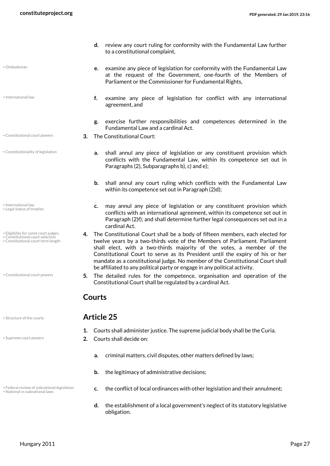- <span id="page-26-9"></span>• Ombudsman
- International law
- 
- Constitutionality of legislation

- <span id="page-26-7"></span><span id="page-26-6"></span>• International law • Legal status of treaties
- Eligibility for const court judges
- <span id="page-26-4"></span><span id="page-26-2"></span><span id="page-26-1"></span>• Constitutional court selection • Constitutional court term length
- Constitutional court powers

<span id="page-26-10"></span>

<span id="page-26-11"></span>

• National vs subnational laws

- **d.** review any court ruling for conformity with the Fundamental Law further to a constitutional complaint,
- **e.** examine any piece of legislation for conformity with the Fundamental Law at the request of the Government, one-fourth of the Members of Parliament or the Commissioner for Fundamental Rights,
- **f.** examine any piece of legislation for conflict with any international agreement, and
- <span id="page-26-3"></span>**g.** exercise further responsibilities and competences determined in the Fundamental Law and a cardinal Act.
- Constitutional court powers **3. The Constitutional Court:** 
	- **a.** shall annul any piece of legislation or any constituent provision which conflicts with the Fundamental Law, within its competence set out in Paragraphs (2), Subparagraphs b), c) and e);
	- **b.** shall annul any court ruling which conflicts with the Fundamental Law within its competence set out in Paragraph (2)d);
	- **c.** may annul any piece of legislation or any constituent provision which conflicts with an international agreement, within its competence set out in Paragraph (2)f); and shall determine further legal consequences set out in a cardinal Act.
	- **4.** The Constitutional Court shall be a body of fifteen members, each elected for twelve years by a two-thirds vote of the Members of Parliament. Parliament shall elect, with a two-thirds majority of the votes, a member of the Constitutional Court to serve as its President until the expiry of his or her mandate as a constitutional judge. No member of the Constitutional Court shall be affiliated to any political party or engage in any political activity.
	- **5.** The detailed rules for the competence, organisation and operation of the Constitutional Court shall be regulated by a cardinal Act.

### <span id="page-26-0"></span>**Courts**

### • Structure of the courts **Article 25**

- <span id="page-26-5"></span>**1.** Courts shall administer justice. The supreme judicial body shall be the Curia.
- Supreme court powers **2. Courts shall decide on:** 
	- **a.** criminal matters, civil disputes, other matters defined by laws;
	- **b.** the legitimacy of administrative decisions;
- <span id="page-26-8"></span>**C.** the conflict of local ordinal legislation **c.** the conflict of local ordinances with other legislation and their annulment;
	- **d.** the establishment of a local government's neglect of its statutory legislative obligation.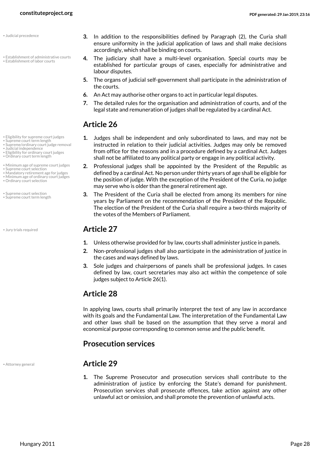- <span id="page-27-6"></span>• Judicial precedence
- Establishment of administrative courts • Establishment of labor courts

• Eligibility for supreme court judges • Supreme court term length • Supreme/ordinary court judge removal

• Eligibility for ordinary court judges • Ordinary court term length

• Minimum age of supreme court judges • Supreme court selection • Mandatory retirement age for judges • Minimum age of ordinary court judges

<span id="page-27-5"></span>• Judicial independence

• Ordinary court selection

• Supreme court selection • Supreme court term length

- **3.** In addition to the responsibilities defined by Paragraph (2), the Curia shall ensure uniformity in the judicial application of laws and shall make decisions accordingly, which shall be binding on courts.
- <span id="page-27-4"></span><span id="page-27-3"></span>**4.** The judiciary shall have a multi-level organisation. Special courts may be established for particular groups of cases, especially for administrative and labour disputes.
- **5.** The organs of judicial self-government shall participate in the administration of the courts.
- **6.** An Act may authorise other organs to act in particular legal disputes.
- **7.** The detailed rules for the organisation and administration of courts, and of the legal state and remuneration of judges shall be regulated by a cardinal Act.

### **Article 26**

- <span id="page-27-15"></span><span id="page-27-2"></span>**1.** Judges shall be independent and only subordinated to laws, and may not be instructed in relation to their judicial activities. Judges may only be removed from office for the reasons and in a procedure defined by a cardinal Act. Judges shall not be affiliated to any political party or engage in any political activity.
- <span id="page-27-12"></span><span id="page-27-11"></span><span id="page-27-10"></span><span id="page-27-9"></span><span id="page-27-8"></span><span id="page-27-1"></span>**2.** Professional judges shall be appointed by the President of the Republic as defined by a cardinal Act. No person under thirty years of age shall be eligible for the position of judge. With the exception of the President of the Curia, no judge may serve who is older than the general retirement age.
- <span id="page-27-14"></span><span id="page-27-13"></span>**3.** The President of the Curia shall be elected from among its members for nine years by Parliament on the recommendation of the President of the Republic. The election of the President of the Curia shall require a two-thirds majority of the votes of the Members of Parliament.

### • Jury trials required **Article 27**

- **1.** Unless otherwise provided for by law, courts shall administer justice in panels.
- **2.** Non-professional judges shall also participate in the administration of justice in the cases and ways defined by laws.
- **3.** Sole judges and chairpersons of panels shall be professional judges. In cases defined by law, court secretaries may also act within the competence of sole judges subject to Article 26(1).

### **Article 28**

In applying laws, courts shall primarily interpret the text of any law in accordance with its goals and the Fundamental Law. The interpretation of the Fundamental Law and other laws shall be based on the assumption that they serve a moral and economical purpose corresponding to common sense and the public benefit.

### **Prosecution services**

• Attorney general **Article 29**

**1.** The Supreme Prosecutor and prosecution services shall contribute to the administration of justice by enforcing the State's demand for punishment. Prosecution services shall prosecute offences, take action against any other unlawful act or omission, and shall promote the prevention of unlawful acts.

<span id="page-27-7"></span>

<span id="page-27-0"></span>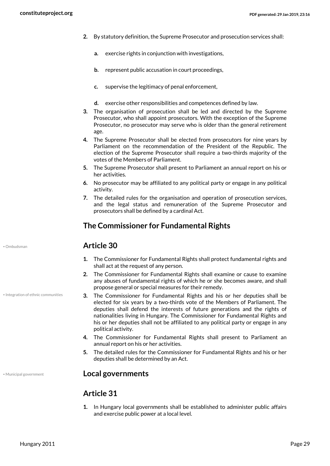- **2.** By statutory definition, the Supreme Prosecutor and prosecution services shall:
	- **a.** exercise rights in conjunction with investigations,
	- **b.** represent public accusation in court proceedings,
	- **c.** supervise the legitimacy of penal enforcement,
	- **d.** exercise other responsibilities and competences defined by law.
- **3.** The organisation of prosecution shall be led and directed by the Supreme Prosecutor, who shall appoint prosecutors. With the exception of the Supreme Prosecutor, no prosecutor may serve who is older than the general retirement age.
- **4.** The Supreme Prosecutor shall be elected from prosecutors for nine years by Parliament on the recommendation of the President of the Republic. The election of the Supreme Prosecutor shall require a two-thirds majority of the votes of the Members of Parliament.
- **5.** The Supreme Prosecutor shall present to Parliament an annual report on his or her activities.
- **6.** No prosecutor may be affiliated to any political party or engage in any political activity.
- **7.** The detailed rules for the organisation and operation of prosecution services, and the legal status and remuneration of the Supreme Prosecutor and prosecutors shall be defined by a cardinal Act.

### **The Commissioner for Fundamental Rights**

### • Ombudsman **Article 30**

- **1.** The Commissioner for Fundamental Rights shall protect fundamental rights and shall act at the request of any person.
- **2.** The Commissioner for Fundamental Rights shall examine or cause to examine any abuses of fundamental rights of which he or she becomes aware, and shall propose general or special measures for their remedy.
- <span id="page-28-0"></span>**3.** The Commissioner for Fundamental Rights and his or her deputies shall be elected for six years by a two-thirds vote of the Members of Parliament. The deputies shall defend the interests of future generations and the rights of nationalities living in Hungary. The Commissioner for Fundamental Rights and his or her deputies shall not be affiliated to any political party or engage in any political activity.
- **4.** The Commissioner for Fundamental Rights shall present to Parliament an annual report on his or her activities.
- **5.** The detailed rules for the Commissioner for Fundamental Rights and his or her deputies shall be determined by an Act.

### • Municipal government **Local governments**

### **Article 31**

**1.** In Hungary local governments shall be established to administer public affairs and exercise public power at a local level.

<span id="page-28-2"></span>

• Integration of ethnic communities

<span id="page-28-1"></span>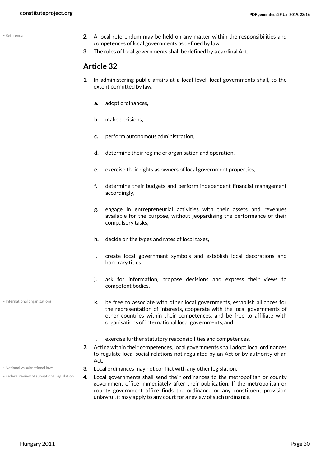<span id="page-29-3"></span>• Referenda

- **2.** A local referendum may be held on any matter within the responsibilities and competences of local governments as defined by law.
- **3.** The rules of local governments shall be defined by a cardinal Act.

### **Article 32**

- **1.** In administering public affairs at a local level, local governments shall, to the extent permitted by law:
	- **a.** adopt ordinances,
	- **b.** make decisions,
	- **c.** perform autonomous administration,
	- **d.** determine their regime of organisation and operation,
	- **e.** exercise their rights as owners of local government properties,
	- **f.** determine their budgets and perform independent financial management accordingly,
	- **g.** engage in entrepreneurial activities with their assets and revenues available for the purpose, without jeopardising the performance of their compulsory tasks,
	- **h.** decide on the types and rates of local taxes,
	- **i.** create local government symbols and establish local decorations and honorary titles,
	- **j.** ask for information, propose decisions and express their views to competent bodies,
	- **k.** be free to associate with other local governments, establish alliances for the representation of interests, cooperate with the local governments of other countries within their competences, and be free to affiliate with organisations of international local governments, and
	- **l.** exercise further statutory responsibilities and competences.
- <span id="page-29-2"></span><span id="page-29-0"></span>**2.** Acting within their competences, local governments shall adopt local ordinances to regulate local social relations not regulated by an Act or by authority of an Act.
- National vs subnational laws **3.** Local ordinances may not conflict with any other legislation.
	- **4.** Local governments shall send their ordinances to the metropolitan or county government office immediately after their publication. If the metropolitan or county government office finds the ordinance or any constituent provision unlawful, it may apply to any court for a review of such ordinance.

<span id="page-29-1"></span>• International organizations

• Federal review of subnational legislation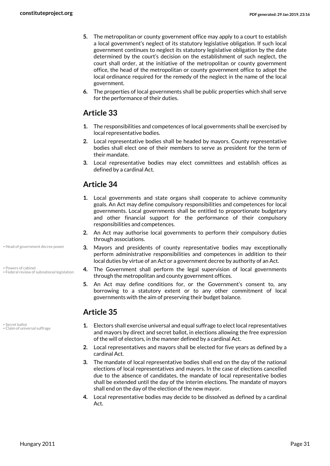- **5.** The metropolitan or county government office may apply to a court to establish a local government's neglect of its statutory legislative obligation. If such local government continues to neglect its statutory legislative obligation by the date determined by the court's decision on the establishment of such neglect, the court shall order, at the initiative of the metropolitan or county government office, the head of the metropolitan or county government office to adopt the local ordinance required for the remedy of the neglect in the name of the local government.
- **6.** The properties of local governments shall be public properties which shall serve for the performance of their duties.

### **Article 33**

- **1.** The responsibilities and competences of local governments shall be exercised by local representative bodies.
- **2.** Local representative bodies shall be headed by mayors. County representative bodies shall elect one of their members to serve as president for the term of their mandate.
- **3.** Local representative bodies may elect committees and establish offices as defined by a cardinal Act.

### **Article 34**

- **1.** Local governments and state organs shall cooperate to achieve community goals. An Act may define compulsory responsibilities and competences for local governments. Local governments shall be entitled to proportionate budgetary and other financial support for the performance of their compulsory responsibilities and competences.
- **2.** An Act may authorise local governments to perform their compulsory duties through associations.
- <span id="page-30-2"></span>**3.** Mayors and presidents of county representative bodies may exceptionally perform administrative responsibilities and competences in addition to their local duties by virtue of an Act or a government decree by authority of an Act.
- <span id="page-30-1"></span>**4.** The Government shall perform the legal supervision of local governments through the metropolitan and county government offices.
- **5.** An Act may define conditions for, or the Government's consent to, any borrowing to a statutory extent or to any other commitment of local governments with the aim of preserving their budget balance.

### **Article 35**

<span id="page-30-4"></span>• Secret ballot • Claim of universal suffrage

<span id="page-30-3"></span>• Powers of cabinet

• Head of government decree power

• Federal review of subnational legislation

- <span id="page-30-0"></span>**1.** Electors shall exercise universal and equal suffrage to elect local representatives and mayors by direct and secret ballot, in elections allowing the free expression of the will of electors, in the manner defined by a cardinal Act.
- **2.** Local representatives and mayors shall be elected for five years as defined by a cardinal Act.
- **3.** The mandate of local representative bodies shall end on the day of the national elections of local representatives and mayors. In the case of elections cancelled due to the absence of candidates, the mandate of local representative bodies shall be extended until the day of the interim elections. The mandate of mayors shall end on the day of the election of the new mayor.
- **4.** Local representative bodies may decide to be dissolved as defined by a cardinal Act.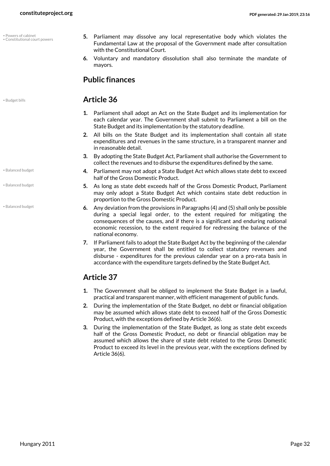<span id="page-31-3"></span>• Powers of cabinet • Constitutional court powers

- Balanced budget
- Balanced budget

<span id="page-31-0"></span>• Balanced budget

- <span id="page-31-2"></span>**5.** Parliament may dissolve any local representative body which violates the Fundamental Law at the proposal of the Government made after consultation with the Constitutional Court.
- **6.** Voluntary and mandatory dissolution shall also terminate the mandate of mayors.

### **Public finances**

### <span id="page-31-1"></span>• Budget bills **Article 36**

- **1.** Parliament shall adopt an Act on the State Budget and its implementation for each calendar year. The Government shall submit to Parliament a bill on the State Budget and its implementation by the statutory deadline.
- **2.** All bills on the State Budget and its implementation shall contain all state expenditures and revenues in the same structure, in a transparent manner and in reasonable detail.
- **3.** By adopting the State Budget Act, Parliament shall authorise the Government to collect the revenues and to disburse the expenditures defined by the same.
- **4.** Parliament may not adopt a State Budget Act which allows state debt to exceed half of the Gross Domestic Product.
- **5.** As long as state debt exceeds half of the Gross Domestic Product, Parliament may only adopt a State Budget Act which contains state debt reduction in proportion to the Gross Domestic Product.
- **6.** Any deviation from the provisions in Paragraphs (4) and (5) shall only be possible during a special legal order, to the extent required for mitigating the consequences of the causes, and if there is a significant and enduring national economic recession, to the extent required for redressing the balance of the national economy.
- **7.** If Parliament fails to adopt the State Budget Act by the beginning of the calendar year, the Government shall be entitled to collect statutory revenues and disburse - expenditures for the previous calendar year on a pro-rata basis in accordance with the expenditure targets defined by the State Budget Act.

### **Article 37**

- **1.** The Government shall be obliged to implement the State Budget in a lawful, practical and transparent manner, with efficient management of public funds.
- **2.** During the implementation of the State Budget, no debt or financial obligation may be assumed which allows state debt to exceed half of the Gross Domestic Product, with the exceptions defined by Article 36(6).
- **3.** During the implementation of the State Budget, as long as state debt exceeds half of the Gross Domestic Product, no debt or financial obligation may be assumed which allows the share of state debt related to the Gross Domestic Product to exceed its level in the previous year, with the exceptions defined by Article 36(6).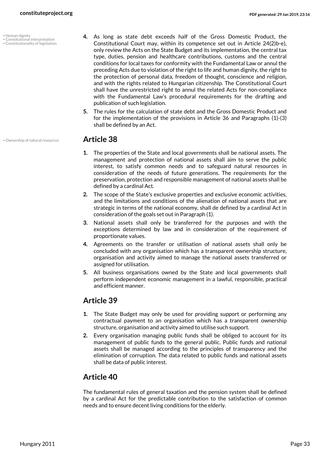• Human dignity

- Constitutional interpretation Constitutionality of legislation
- <span id="page-32-2"></span>
- <span id="page-32-1"></span><span id="page-32-0"></span>**4.** As long as state debt exceeds half of the Gross Domestic Product, the Constitutional Court may, within its competence set out in Article 24(2)b-e), only review the Acts on the State Budget and its implementation, the central tax type, duties, pension and healthcare contributions, customs and the central conditions for local taxes for conformity with the Fundamental Law or annul the preceding Acts due to violation of the right to life and human dignity, the right to the protection of personal data, freedom of thought, conscience and religion, and with the rights related to Hungarian citizenship. The Constitutional Court shall have the unrestricted right to annul the related Acts for non-compliance with the Fundamental Law's procedural requirements for the drafting and publication of such legislation.
- **5.** The rules for the calculation of state debt and the Gross Domestic Product and for the implementation of the provisions in Article 36 and Paragraphs (1)-(3) shall be defined by an Act.

### • Ownership of natural resources **Article 38**

- <span id="page-32-3"></span>**1.** The properties of the State and local governments shall be national assets. The management and protection of national assets shall aim to serve the public interest, to satisfy common needs and to safeguard natural resources in consideration of the needs of future generations. The requirements for the preservation, protection and responsible management of national assets shall be defined by a cardinal Act.
- **2.** The scope of the State's exclusive properties and exclusive economic activities, and the limitations and conditions of the alienation of national assets that are strategic in terms of the national economy, shall de defined by a cardinal Act in consideration of the goals set out in Paragraph (1).
- **3.** National assets shall only be transferred for the purposes and with the exceptions determined by law and in consideration of the requirement of proportionate values.
- **4.** Agreements on the transfer or utilisation of national assets shall only be concluded with any organisation which has a transparent ownership structure, organisation and activity aimed to manage the national assets transferred or assigned for utilisation.
- **5.** All business organisations owned by the State and local governments shall perform independent economic management in a lawful, responsible, practical and efficient manner.

### **Article 39**

- **1.** The State Budget may only be used for providing support or performing any contractual payment to an organisation which has a transparent ownership structure, organisation and activity aimed to utilise such support.
- **2.** Every organisation managing public funds shall be obliged to account for its management of public funds to the general public. Public funds and national assets shall be managed according to the principles of transparency and the elimination of corruption. The data related to public funds and national assets shall be data of public interest.

### **Article 40**

The fundamental rules of general taxation and the pension system shall be defined by a cardinal Act for the predictable contribution to the satisfaction of common needs and to ensure decent living conditions for the elderly.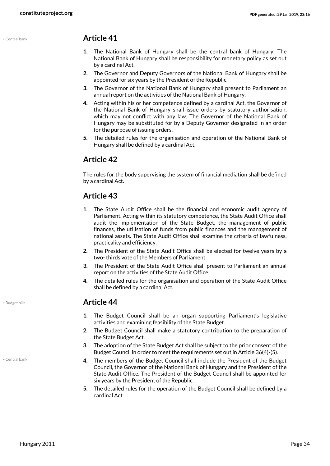### • Central bank **Article 41**

- **1.** The National Bank of Hungary shall be the central bank of Hungary. The National Bank of Hungary shall be responsibility for monetary policy as set out by a cardinal Act.
- **2.** The Governor and Deputy Governors of the National Bank of Hungary shall be appointed for six years by the President of the Republic.
- **3.** The Governor of the National Bank of Hungary shall present to Parliament an annual report on the activities of the National Bank of Hungary.
- **4.** Acting within his or her competence defined by a cardinal Act, the Governor of the National Bank of Hungary shall issue orders by statutory authorisation, which may not conflict with any law. The Governor of the National Bank of Hungary may be substituted for by a Deputy Governor designated in an order for the purpose of issuing orders.
- **5.** The detailed rules for the organisation and operation of the National Bank of Hungary shall be defined by a cardinal Act.

### **Article 42**

The rules for the body supervising the system of financial mediation shall be defined by a cardinal Act.

### **Article 43**

- **1.** The State Audit Office shall be the financial and economic audit agency of Parliament. Acting within its statutory competence, the State Audit Office shall audit the implementation of the State Budget, the management of public finances, the utilisation of funds from public finances and the management of national assets. The State Audit Office shall examine the criteria of lawfulness, practicality and efficiency.
- **2.** The President of the State Audit Office shall be elected for twelve years by a two- thirds vote of the Members of Parliament.
- **3.** The President of the State Audit Office shall present to Parliament an annual report on the activities of the State Audit Office.
- **4.** The detailed rules for the organisation and operation of the State Audit Office shall be defined by a cardinal Act.

### • Budget bills **Article 44**

- **1.** The Budget Council shall be an organ supporting Parliament's legislative activities and examining feasibility of the State Budget.
- **2.** The Budget Council shall make a statutory contribution to the preparation of the State Budget Act.
- **3.** The adoption of the State Budget Act shall be subject to the prior consent of the Budget Council in order to meet the requirements set out in Article 36(4)-(5).
- **4.** The members of the Budget Council shall include the President of the Budget Council, the Governor of the National Bank of Hungary and the President of the State Audit Office. The President of the Budget Council shall be appointed for six years by the President of the Republic.
- **5.** The detailed rules for the operation of the Budget Council shall be defined by a cardinal Act.

<span id="page-33-0"></span>

<span id="page-33-1"></span>• Central bank

Hungary 2011 Page 34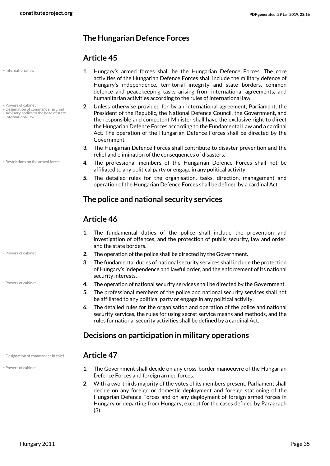• International law

- Powers of cabinet
- Designation of commander in chief Advisory bodies to the head of state
- <span id="page-34-2"></span>• International law

• Restrictions on the armed forces

### • Designation of commander in chief **Article 47**

<span id="page-34-3"></span>• Powers of cabinet

### **The Hungarian Defence Forces**

### **Article 45**

- **1.** Hungary's armed forces shall be the Hungarian Defence Forces. The core activities of the Hungarian Defence Forces shall include the military defence of Hungary's independence, territorial integrity and state borders, common defence and peacekeeping tasks arising from international agreements, and humanitarian activities according to the rules of international law.
- <span id="page-34-0"></span>**2.** Unless otherwise provided for by an international agreement, Parliament, the President of the Republic, the National Defence Council, the Government, and the responsible and competent Minister shall have the exclusive right to direct the Hungarian Defence Forces according to the Fundamental Law and a cardinal Act. The operation of the Hungarian Defence Forces shall be directed by the Government.
- **3.** The Hungarian Defence Forces shall contribute to disaster prevention and the relief and elimination of the consequences of disasters.
- <span id="page-34-4"></span>**4.** The professional members of the Hungarian Defence Forces shall not be affiliated to any political party or engage in any political activity.
- **5.** The detailed rules for the organisation, tasks, direction, management and operation of the Hungarian Defence Forces shall be defined by a cardinal Act.

### **The police and national security services**

### **Article 46**

- **1.** The fundamental duties of the police shall include the prevention and investigation of offences, and the protection of public security, law and order, and the state borders.
- Powers of cabinet **2.** The operation of the police shall be directed by the Government.
	- **3.** The fundamental duties of national security services shall include the protection of Hungary's independence and lawful order, and the enforcement of its national security interests.
- Powers of cabinet **1.4.** The operation of national security services shall be directed by the Government.
	- **5.** The professional members of the police and national security services shall not be affiliated to any political party or engage in any political activity.
	- **6.** The detailed rules for the organisation and operation of the police and national security services, the rules for using secret service means and methods, and the rules for national security activities shall be defined by a cardinal Act.

### **Decisions on participation in military operations**

- <span id="page-34-1"></span>**1.** The Government shall decide on any cross-border manoeuvre of the Hungarian Defence Forces and foreign armed forces.
- **2.** With a two-thirds majority of the votes of its members present, Parliament shall decide on any foreign or domestic deployment and foreign stationing of the Hungarian Defence Forces and on any deployment of foreign armed forces in Hungary or departing from Hungary, except for the cases defined by Paragraph (3).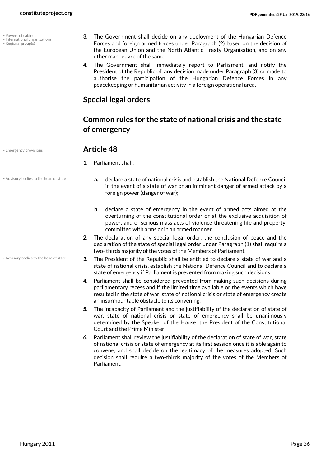- <span id="page-35-3"></span>• Powers of cabinet
- International organizations
- <span id="page-35-4"></span>• Regional group(s)
- <span id="page-35-2"></span>**3.** The Government shall decide on any deployment of the Hungarian Defence Forces and foreign armed forces under Paragraph (2) based on the decision of the European Union and the North Atlantic Treaty Organisation, and on any other manoeuvre of the same.
- **4.** The Government shall immediately report to Parliament, and notify the President of the Republic of, any decision made under Paragraph (3) or made to authorise the participation of the Hungarian Defence Forces in any peacekeeping or humanitarian activity in a foreign operational area.

### **Special legal orders**

### **Common rules for the state of national crisis and the state of emergency**

### <span id="page-35-1"></span>• Emergency provisions **Article 48**

- **1.** Parliament shall:
- Advisory bodies to the head of state

• Advisory bodies to the head of state

- **a.** declare a state of national crisis and establish the National Defence Council in the event of a state of war or an imminent danger of armed attack by a foreign power (danger of war);
- **b.** declare a state of emergency in the event of armed acts aimed at the overturning of the constitutional order or at the exclusive acquisition of power, and of serious mass acts of violence threatening life and property, committed with arms or in an armed manner.
- **2.** The declaration of any special legal order, the conclusion of peace and the declaration of the state of special legal order under Paragraph (1) shall require a two- thirds majority of the votes of the Members of Parliament.
- <span id="page-35-0"></span>**3.** The President of the Republic shall be entitled to declare a state of war and a state of national crisis, establish the National Defence Council and to declare a state of emergency if Parliament is prevented from making such decisions.
- **4.** Parliament shall be considered prevented from making such decisions during parliamentary recess and if the limited time available or the events which have resulted in the state of war, state of national crisis or state of emergency create an insurmountable obstacle to its convening.
- **5.** The incapacity of Parliament and the justifiability of the declaration of state of war, state of national crisis or state of emergency shall be unanimously determined by the Speaker of the House, the President of the Constitutional Court and the Prime Minister.
- **6.** Parliament shall review the justifiability of the declaration of state of war, state of national crisis or state of emergency at its first session once it is able again to convene, and shall decide on the legitimacy of the measures adopted. Such decision shall require a two-thirds majority of the votes of the Members of Parliament.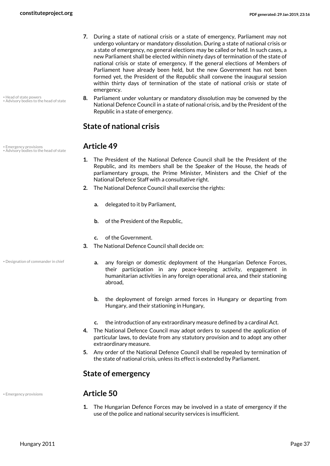- **7.** During a state of national crisis or a state of emergency, Parliament may not undergo voluntary or mandatory dissolution. During a state of national crisis or a state of emergency, no general elections may be called or held. In such cases, a new Parliament shall be elected within ninety days of termination of the state of national crisis or state of emergency. If the general elections of Members of Parliament have already been held, but the new Government has not been formed yet, the President of the Republic shall convene the inaugural session within thirty days of termination of the state of national crisis or state of emergency.
- **8.** Parliament under voluntary or mandatory dissolution may be convened by the National Defence Council in a state of national crisis, and by the President of the Republic in a state of emergency.

### **State of national crisis**

- <span id="page-36-0"></span>**1.** The President of the National Defence Council shall be the President of the Republic, and its members shall be the Speaker of the House, the heads of parliamentary groups, the Prime Minister, Ministers and the Chief of the National Defence Staff with a consultative right.
- **2.** The National Defence Council shall exercise the rights:
	- **a.** delegated to it by Parliament,
	- **b.** of the President of the Republic,
	- **c.** of the Government.
- <span id="page-36-1"></span>**3.** The National Defence Council shall decide on:
	- **a.** any foreign or domestic deployment of the Hungarian Defence Forces, their participation in any peace-keeping activity, engagement in humanitarian activities in any foreign operational area, and their stationing abroad,
		- **b.** the deployment of foreign armed forces in Hungary or departing from Hungary, and their stationing in Hungary,
		- **c.** the introduction of any extraordinary measure defined by a cardinal Act.
- **4.** The National Defence Council may adopt orders to suspend the application of particular laws, to deviate from any statutory provision and to adopt any other extraordinary measure.
- **5.** Any order of the National Defence Council shall be repealed by termination of the state of national crisis, unless its effect is extended by Parliament.

### **State of emergency**

<span id="page-36-2"></span>

### • Emergency provisions **Article 50**

**1.** The Hungarian Defence Forces may be involved in a state of emergency if the use of the police and national security services is insufficient.

• Emergency provisions **Article 49** • Advisory bodies to the head of state

• Designation of commander in chief

<span id="page-36-3"></span>• Advisory bodies to the head of state

• Head of state powers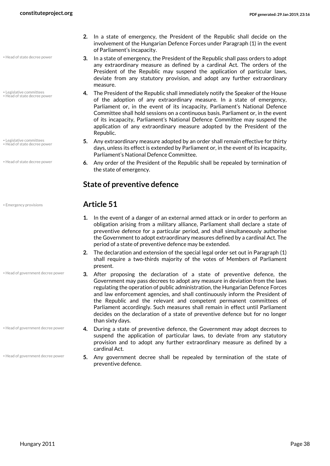- Head of state decree power
- Legislative committees • Head of state decree power
- Legislative committees • Head of state decree power
- Head of state decree power
- 
- **2.** In a state of emergency, the President of the Republic shall decide on the involvement of the Hungarian Defence Forces under Paragraph (1) in the event of Parliament's incapacity.
- **3.** In a state of emergency, the President of the Republic shall pass orders to adopt any extraordinary measure as defined by a cardinal Act. The orders of the President of the Republic may suspend the application of particular laws, deviate from any statutory provision, and adopt any further extraordinary measure.
- **4.** The President of the Republic shall immediately notify the Speaker of the House of the adoption of any extraordinary measure. In a state of emergency, Parliament or, in the event of its incapacity, Parliament's National Defence Committee shall hold sessions on a continuous basis. Parliament or, in the event of its incapacity, Parliament's National Defence Committee may suspend the application of any extraordinary measure adopted by the President of the Republic.
- <span id="page-37-3"></span>**5.** Any extraordinary measure adopted by an order shall remain effective for thirty days, unless its effect is extended by Parliament or, in the event of its incapacity, Parliament's National Defence Committee.
- <span id="page-37-2"></span>**6.** Any order of the President of the Republic shall be repealed by termination of the state of emergency.

### **State of preventive defence**

### <span id="page-37-0"></span>• Emergency provisions **Article 51**

- **1.** In the event of a danger of an external armed attack or in order to perform an obligation arising from a military alliance, Parliament shall declare a state of preventive defence for a particular period, and shall simultaneously authorise the Government to adopt extraordinary measures defined by a cardinal Act. The period of a state of preventive defence may be extended.
- **2.** The declaration and extension of the special legal order set out in Paragraph (1) shall require a two-thirds majority of the votes of Members of Parliament present.
- **3.** After proposing the declaration of a state of preventive defence, the Government may pass decrees to adopt any measure in deviation from the laws regulating the operation of public administration, the Hungarian Defence Forces and law enforcement agencies, and shall continuously inform the President of the Republic and the relevant and competent permanent committees of Parliament accordingly. Such measures shall remain in effect until Parliament decides on the declaration of a state of preventive defence but for no longer than sixty days.
- **4.** During a state of preventive defence, the Government may adopt decrees to suspend the application of particular laws, to deviate from any statutory provision and to adopt any further extraordinary measure as defined by a cardinal Act.
- <span id="page-37-1"></span>**5.** Any government decree shall be repealed by termination of the state of preventive defence.

• Head of government decree power

• Head of government decree power

• Head of government decree power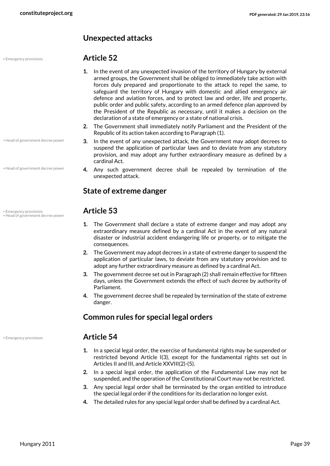### **Unexpected attacks**

### • Head of government decree power

• Head of government decree power

# • Emergency provisions **Article 53** • Head of government decree power

### • Emergency provisions **Article 52**

- **1.** In the event of any unexpected invasion of the territory of Hungary by external armed groups, the Government shall be obliged to immediately take action with forces duly prepared and proportionate to the attack to repel the same, to safeguard the territory of Hungary with domestic and allied emergency air defence and aviation forces, and to protect law and order, life and property, public order and public safety, according to an armed defence plan approved by the President of the Republic as necessary, until it makes a decision on the declaration of a state of emergency or a state of national crisis.
- **2.** The Government shall immediately notify Parliament and the President of the Republic of its action taken according to Paragraph (1).
- **3.** In the event of any unexpected attack, the Government may adopt decrees to suspend the application of particular laws and to deviate from any statutory provision, and may adopt any further extraordinary measure as defined by a cardinal Act.
- **4.** Any such government decree shall be repealed by termination of the unexpected attack.

### **State of extreme danger**

- <span id="page-38-1"></span>**1.** The Government shall declare a state of extreme danger and may adopt any extraordinary measure defined by a cardinal Act in the event of any natural disaster or industrial accident endangering life or property, or to mitigate the consequences.
- **2.** The Government may adopt decrees in a state of extreme danger to suspend the application of particular laws, to deviate from any statutory provision and to adopt any further extraordinary measure as defined by a cardinal Act.
- **3.** The government decree set out in Paragraph (2) shall remain effective for fifteen days, unless the Government extends the effect of such decree by authority of Parliament.
- **4.** The government decree shall be repealed by termination of the state of extreme danger.

### **Common rules for special legal orders**

### <span id="page-38-0"></span>• Emergency provisions **Article 54**

- **1.** In a special legal order, the exercise of fundamental rights may be suspended or restricted beyond Article I(3), except for the fundamental rights set out in Articles II and III, and Article XXVIII(2)-(5).
- **2.** In a special legal order, the application of the Fundamental Law may not be suspended, and the operation of the Constitutional Court may not be restricted.
- **3.** Any special legal order shall be terminated by the organ entitled to introduce the special legal order if the conditions for its declaration no longer exist.
- **4.** The detailed rules for any special legal order shall be defined by a cardinal Act.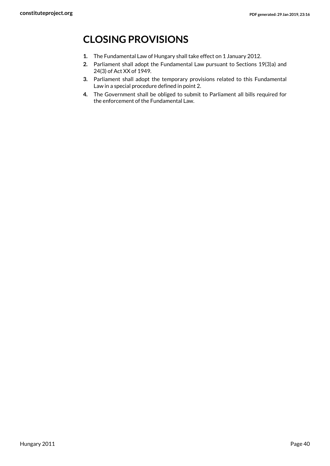# <span id="page-39-0"></span>**CLOSING PROVISIONS**

- **1.** The Fundamental Law of Hungary shall take effect on 1 January 2012.
- **2.** Parliament shall adopt the Fundamental Law pursuant to Sections 19(3)a) and 24(3) of Act XX of 1949.
- **3.** Parliament shall adopt the temporary provisions related to this Fundamental Law in a special procedure defined in point 2.
- **4.** The Government shall be obliged to submit to Parliament all bills required for the enforcement of the Fundamental Law.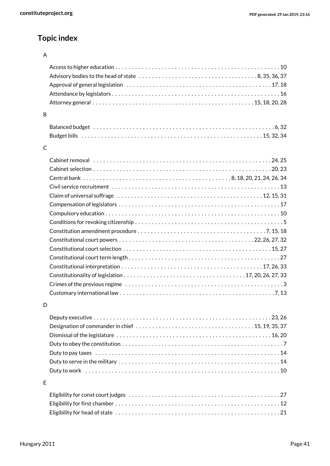# **Topic index**

### A

| <sub>B</sub> |                                                                                                           |
|--------------|-----------------------------------------------------------------------------------------------------------|
|              |                                                                                                           |
|              |                                                                                                           |
| $\mathsf{C}$ |                                                                                                           |
|              |                                                                                                           |
|              |                                                                                                           |
|              |                                                                                                           |
|              |                                                                                                           |
|              | Claim of universal suffrage $\dots\dots\dots\dots\dots\dots\dots\dots\dots\dots\dots\dots\dots\dots\dots$ |
|              |                                                                                                           |
|              |                                                                                                           |
|              |                                                                                                           |
|              |                                                                                                           |
|              |                                                                                                           |
|              |                                                                                                           |
|              |                                                                                                           |
|              |                                                                                                           |
|              |                                                                                                           |
|              |                                                                                                           |
|              |                                                                                                           |
|              |                                                                                                           |

### D

| Duty to pay taxes $\dots\dots\dots\dots\dots\dots\dots\dots\dots\dots\dots\dots\dots\dots\dots\dots\dots\dots$ |  |
|----------------------------------------------------------------------------------------------------------------|--|
|                                                                                                                |  |
|                                                                                                                |  |

### E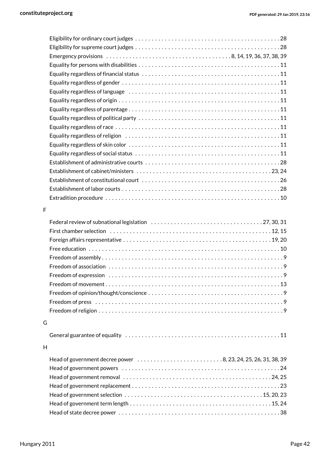| F |                                                               |  |
|---|---------------------------------------------------------------|--|
|   |                                                               |  |
|   |                                                               |  |
|   |                                                               |  |
|   |                                                               |  |
|   |                                                               |  |
|   |                                                               |  |
|   |                                                               |  |
|   |                                                               |  |
|   |                                                               |  |
|   |                                                               |  |
|   |                                                               |  |
|   |                                                               |  |
| G |                                                               |  |
|   |                                                               |  |
|   |                                                               |  |
| H |                                                               |  |
|   | Head of government decree power 8, 23, 24, 25, 26, 31, 38, 39 |  |
|   |                                                               |  |
|   |                                                               |  |
|   |                                                               |  |
|   |                                                               |  |
|   |                                                               |  |
|   |                                                               |  |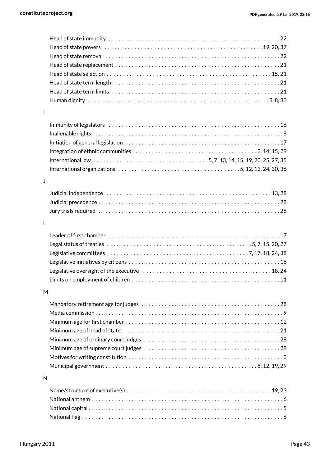| $\mathbf{I}$ |                                                                                                                       |
|--------------|-----------------------------------------------------------------------------------------------------------------------|
|              |                                                                                                                       |
|              |                                                                                                                       |
|              |                                                                                                                       |
|              |                                                                                                                       |
|              |                                                                                                                       |
|              | International organizations $\dots\dots\dots\dots\dots\dots\dots\dots\dots\dots\dots\dots\dots$ 5, 12, 13, 24, 30, 36 |
|              |                                                                                                                       |
| J            |                                                                                                                       |
|              | Judicial independence $\dots\dots\dots\dots\dots\dots\dots\dots\dots\dots\dots\dots\dots\dots\dots$                   |
|              |                                                                                                                       |
|              |                                                                                                                       |
| $\mathsf{L}$ |                                                                                                                       |
|              |                                                                                                                       |
|              |                                                                                                                       |
|              |                                                                                                                       |
|              |                                                                                                                       |
|              |                                                                                                                       |
|              |                                                                                                                       |
|              |                                                                                                                       |
| M            |                                                                                                                       |
|              |                                                                                                                       |
|              |                                                                                                                       |
|              |                                                                                                                       |
|              |                                                                                                                       |
|              |                                                                                                                       |
|              |                                                                                                                       |
|              |                                                                                                                       |
|              |                                                                                                                       |
| N            |                                                                                                                       |
|              |                                                                                                                       |
|              |                                                                                                                       |
|              |                                                                                                                       |
|              |                                                                                                                       |
|              |                                                                                                                       |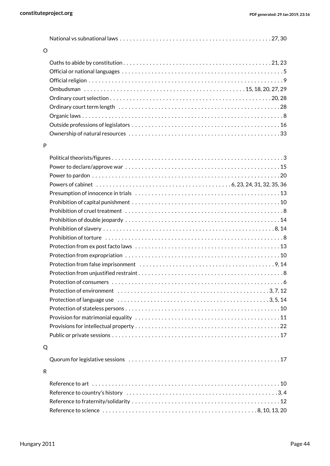| O |                                                                                                          |
|---|----------------------------------------------------------------------------------------------------------|
|   |                                                                                                          |
|   |                                                                                                          |
|   |                                                                                                          |
|   |                                                                                                          |
|   |                                                                                                          |
|   |                                                                                                          |
|   |                                                                                                          |
|   |                                                                                                          |
|   |                                                                                                          |
| P |                                                                                                          |
|   |                                                                                                          |
|   |                                                                                                          |
|   |                                                                                                          |
|   |                                                                                                          |
|   |                                                                                                          |
|   |                                                                                                          |
|   |                                                                                                          |
|   |                                                                                                          |
|   |                                                                                                          |
|   |                                                                                                          |
|   |                                                                                                          |
|   |                                                                                                          |
|   |                                                                                                          |
|   |                                                                                                          |
|   |                                                                                                          |
|   | Protection of environment $\dots\dots\dots\dots\dots\dots\dots\dots\dots\dots\dots\dots\dots\dots3,7,12$ |
|   |                                                                                                          |
|   |                                                                                                          |
|   |                                                                                                          |
|   |                                                                                                          |
|   |                                                                                                          |
| Q |                                                                                                          |
|   |                                                                                                          |
| R |                                                                                                          |
|   |                                                                                                          |
|   |                                                                                                          |
|   |                                                                                                          |
|   |                                                                                                          |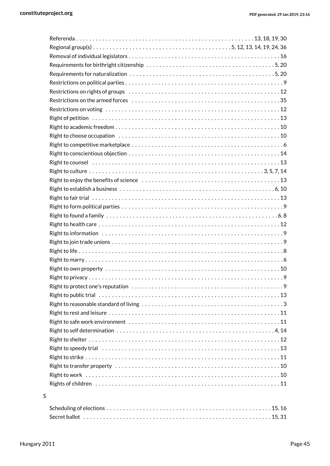|   | Right to establish a business $\dots\dots\dots\dots\dots\dots\dots\dots\dots\dots\dots\dots\dots\dots\dots\dots\dots$ |  |
|---|-----------------------------------------------------------------------------------------------------------------------|--|
|   |                                                                                                                       |  |
|   |                                                                                                                       |  |
|   |                                                                                                                       |  |
|   |                                                                                                                       |  |
|   |                                                                                                                       |  |
|   |                                                                                                                       |  |
|   |                                                                                                                       |  |
|   |                                                                                                                       |  |
|   |                                                                                                                       |  |
|   |                                                                                                                       |  |
|   |                                                                                                                       |  |
|   |                                                                                                                       |  |
|   |                                                                                                                       |  |
|   |                                                                                                                       |  |
|   |                                                                                                                       |  |
|   |                                                                                                                       |  |
|   |                                                                                                                       |  |
|   |                                                                                                                       |  |
|   |                                                                                                                       |  |
|   |                                                                                                                       |  |
|   |                                                                                                                       |  |
|   | Rights of children $\dots\dots\dots\dots\dots\dots\dots\dots\dots\dots\dots\dots\dots\dots\dots\dots\dots\dots$       |  |
| S |                                                                                                                       |  |
|   |                                                                                                                       |  |
|   |                                                                                                                       |  |

### Scheduling of elections . . . . . . . . . . . . . . . . . . . . . . . . . . . . . . . . . . . . . . . . . . . . . . . . . . [15,](#page-14-16) [16](#page-15-5) Secret ballot . . . . . . . . . . . . . . . . . . . . . . . . . . . . . . . . . . . . . . . . . . . . . . . . . . . . . . . . . [15,](#page-14-17) [31](#page-30-4)